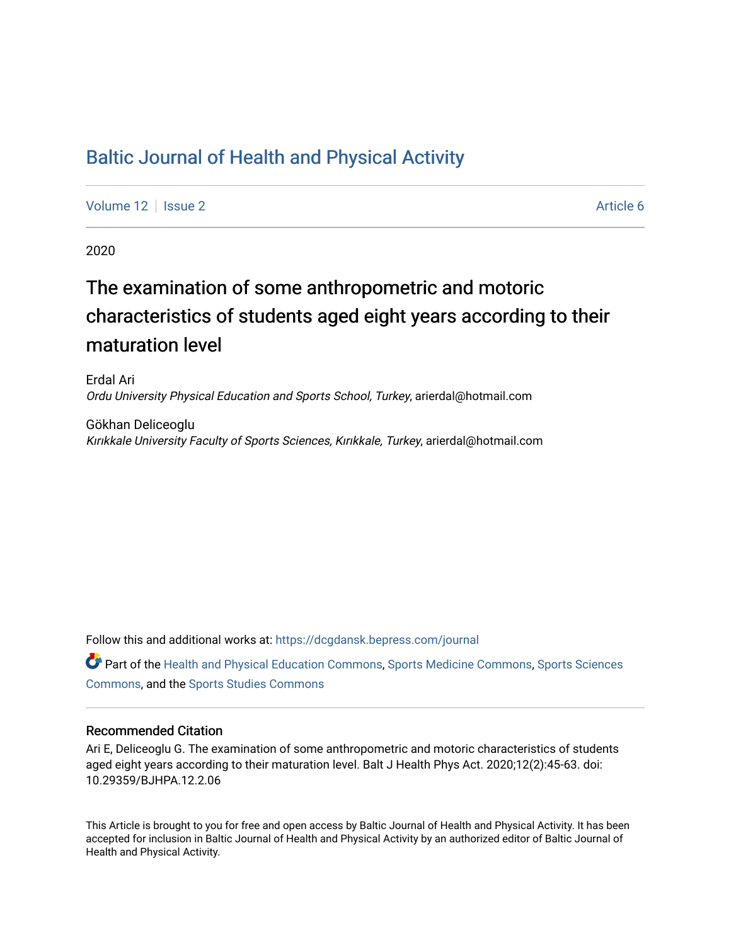## [Baltic Journal of Health and Physical Activity](https://dcgdansk.bepress.com/journal)

[Volume 12](https://dcgdansk.bepress.com/journal/vol12) | [Issue 2](https://dcgdansk.bepress.com/journal/vol12/iss2) Article 6

2020

# The examination of some anthropometric and motoric characteristics of students aged eight years according to their maturation level

Erdal Ari Ordu University Physical Education and Sports School, Turkey, arierdal@hotmail.com

Gökhan Deliceoglu Kırıkkale University Faculty of Sports Sciences, Kırıkkale, Turkey, arierdal@hotmail.com

Follow this and additional works at: [https://dcgdansk.bepress.com/journal](https://dcgdansk.bepress.com/journal?utm_source=dcgdansk.bepress.com%2Fjournal%2Fvol12%2Fiss2%2F6&utm_medium=PDF&utm_campaign=PDFCoverPages)

Part of the [Health and Physical Education Commons](http://network.bepress.com/hgg/discipline/1327?utm_source=dcgdansk.bepress.com%2Fjournal%2Fvol12%2Fiss2%2F6&utm_medium=PDF&utm_campaign=PDFCoverPages), [Sports Medicine Commons,](http://network.bepress.com/hgg/discipline/1331?utm_source=dcgdansk.bepress.com%2Fjournal%2Fvol12%2Fiss2%2F6&utm_medium=PDF&utm_campaign=PDFCoverPages) [Sports Sciences](http://network.bepress.com/hgg/discipline/759?utm_source=dcgdansk.bepress.com%2Fjournal%2Fvol12%2Fiss2%2F6&utm_medium=PDF&utm_campaign=PDFCoverPages) [Commons](http://network.bepress.com/hgg/discipline/759?utm_source=dcgdansk.bepress.com%2Fjournal%2Fvol12%2Fiss2%2F6&utm_medium=PDF&utm_campaign=PDFCoverPages), and the [Sports Studies Commons](http://network.bepress.com/hgg/discipline/1198?utm_source=dcgdansk.bepress.com%2Fjournal%2Fvol12%2Fiss2%2F6&utm_medium=PDF&utm_campaign=PDFCoverPages) 

#### Recommended Citation

Ari E, Deliceoglu G. The examination of some anthropometric and motoric characteristics of students aged eight years according to their maturation level. Balt J Health Phys Act. 2020;12(2):45-63. doi: 10.29359/BJHPA.12.2.06

This Article is brought to you for free and open access by Baltic Journal of Health and Physical Activity. It has been accepted for inclusion in Baltic Journal of Health and Physical Activity by an authorized editor of Baltic Journal of Health and Physical Activity.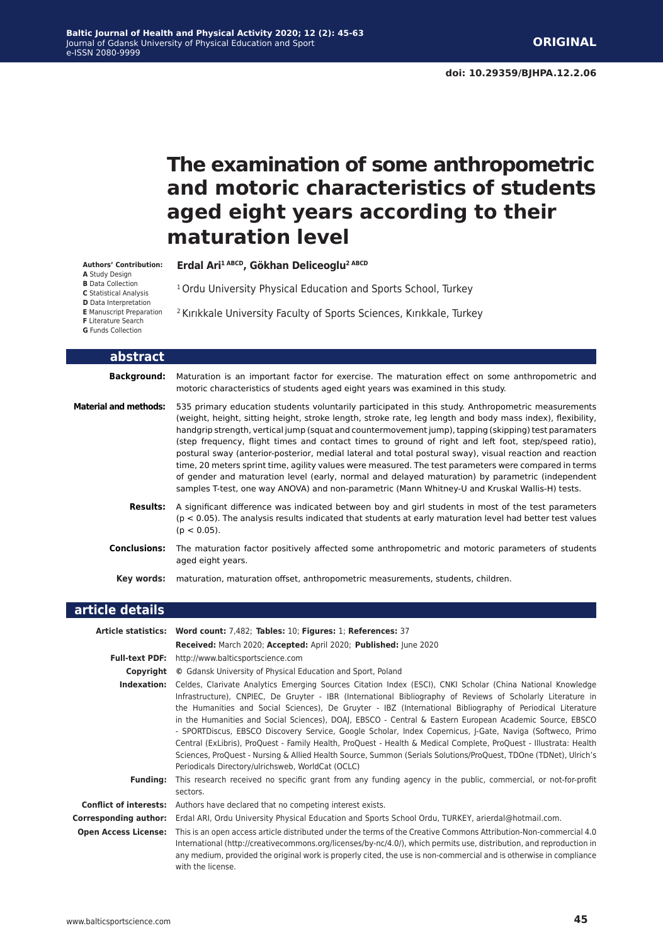# **The examination of some anthropometric and motoric characteristics of students aged eight years according to their maturation level**

**Authors' Contribution:**

**A** Study Design

**B** Data Collection **C** Statistical Analysis

**D** Data Interpretation

**E** Manuscript Preparation

**F** Literature Search

**G** Funds Collection

<sup>1</sup> Ordu University Physical Education and Sports School, Turkey

**Erdal Ari1 ABCD, Gökhan Deliceoglu2 ABCD**

<sup>2</sup> Kırıkkale University Faculty of Sports Sciences, Kırıkkale, Turkey

| abstract              |                                                                                                                                                                                                                                                                                                                                                                                                                                                                                                                                                                                                                                                                                                                                                                                                                                                              |
|-----------------------|--------------------------------------------------------------------------------------------------------------------------------------------------------------------------------------------------------------------------------------------------------------------------------------------------------------------------------------------------------------------------------------------------------------------------------------------------------------------------------------------------------------------------------------------------------------------------------------------------------------------------------------------------------------------------------------------------------------------------------------------------------------------------------------------------------------------------------------------------------------|
| <b>Background:</b>    | Maturation is an important factor for exercise. The maturation effect on some anthropometric and<br>motoric characteristics of students aged eight years was examined in this study.                                                                                                                                                                                                                                                                                                                                                                                                                                                                                                                                                                                                                                                                         |
| Material and methods: | 535 primary education students voluntarily participated in this study. Anthropometric measurements<br>(weight, height, sitting height, stroke length, stroke rate, leg length and body mass index), flexibility,<br>handgrip strength, vertical jump (squat and countermovement jump), tapping (skipping) test paramaters<br>(step frequency, flight times and contact times to ground of right and left foot, step/speed ratio),<br>postural sway (anterior-posterior, medial lateral and total postural sway), visual reaction and reaction<br>time, 20 meters sprint time, agility values were measured. The test parameters were compared in terms<br>of gender and maturation level (early, normal and delayed maturation) by parametric (independent<br>samples T-test, one way ANOVA) and non-parametric (Mann Whitney-U and Kruskal Wallis-H) tests. |
| <b>Results:</b>       | A significant difference was indicated between boy and girl students in most of the test parameters<br>$(p < 0.05)$ . The analysis results indicated that students at early maturation level had better test values<br>$(p < 0.05)$ .                                                                                                                                                                                                                                                                                                                                                                                                                                                                                                                                                                                                                        |
| <b>Conclusions:</b>   | The maturation factor positively affected some anthropometric and motoric parameters of students<br>aged eight years.                                                                                                                                                                                                                                                                                                                                                                                                                                                                                                                                                                                                                                                                                                                                        |
| Key words:            | maturation, maturation offset, anthropometric measurements, students, children.                                                                                                                                                                                                                                                                                                                                                                                                                                                                                                                                                                                                                                                                                                                                                                              |

| article details              |                                                                                                                                                                                                                                                                                                                                                                                                                                                                                                                                                                                                                                                                                                                                                                                                                                                               |
|------------------------------|---------------------------------------------------------------------------------------------------------------------------------------------------------------------------------------------------------------------------------------------------------------------------------------------------------------------------------------------------------------------------------------------------------------------------------------------------------------------------------------------------------------------------------------------------------------------------------------------------------------------------------------------------------------------------------------------------------------------------------------------------------------------------------------------------------------------------------------------------------------|
|                              | Article statistics: Word count: 7,482; Tables: 10; Figures: 1; References: 37<br>Received: March 2020; Accepted: April 2020; Published: June 2020                                                                                                                                                                                                                                                                                                                                                                                                                                                                                                                                                                                                                                                                                                             |
|                              | Full-text PDF: http://www.balticsportscience.com                                                                                                                                                                                                                                                                                                                                                                                                                                                                                                                                                                                                                                                                                                                                                                                                              |
| Copyright                    | © Gdansk University of Physical Education and Sport, Poland                                                                                                                                                                                                                                                                                                                                                                                                                                                                                                                                                                                                                                                                                                                                                                                                   |
| Indexation:                  | Celdes, Clarivate Analytics Emerging Sources Citation Index (ESCI), CNKI Scholar (China National Knowledge<br>Infrastructure), CNPIEC, De Gruyter - IBR (International Bibliography of Reviews of Scholarly Literature in<br>the Humanities and Social Sciences), De Gruyter - IBZ (International Bibliography of Periodical Literature<br>in the Humanities and Social Sciences), DOAJ, EBSCO - Central & Eastern European Academic Source, EBSCO<br>- SPORTDiscus, EBSCO Discovery Service, Google Scholar, Index Copernicus, J-Gate, Naviga (Softweco, Primo<br>Central (ExLibris), ProQuest - Family Health, ProQuest - Health & Medical Complete, ProQuest - Illustrata: Health<br>Sciences, ProQuest - Nursing & Allied Health Source, Summon (Serials Solutions/ProQuest, TDOne (TDNet), Ulrich's<br>Periodicals Directory/ulrichsweb, WorldCat (OCLC) |
| <b>Funding:</b>              | This research received no specific grant from any funding agency in the public, commercial, or not-for-profit<br>sectors.                                                                                                                                                                                                                                                                                                                                                                                                                                                                                                                                                                                                                                                                                                                                     |
|                              | <b>Conflict of interests:</b> Authors have declared that no competing interest exists.                                                                                                                                                                                                                                                                                                                                                                                                                                                                                                                                                                                                                                                                                                                                                                        |
| <b>Corresponding author:</b> | Erdal ARI, Ordu University Physical Education and Sports School Ordu, TURKEY, arierdal@hotmail.com.                                                                                                                                                                                                                                                                                                                                                                                                                                                                                                                                                                                                                                                                                                                                                           |
|                              | Open Access License: This is an open access article distributed under the terms of the Creative Commons Attribution-Non-commercial 4.0<br>International (http://creativecommons.org/licenses/by-nc/4.0/), which permits use, distribution, and reproduction in<br>any medium, provided the original work is properly cited, the use is non-commercial and is otherwise in compliance<br>with the license.                                                                                                                                                                                                                                                                                                                                                                                                                                                     |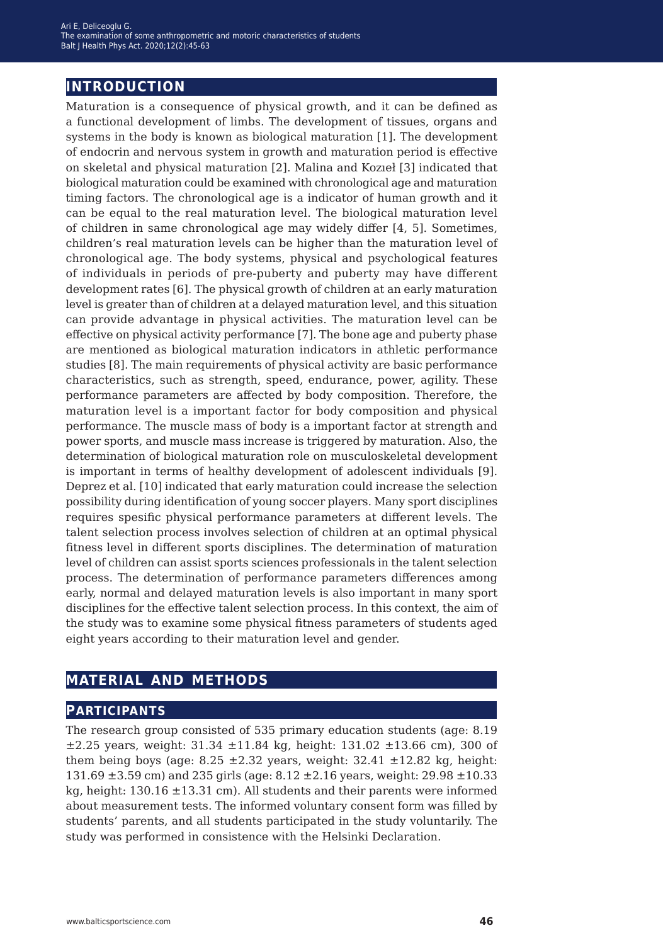### **introduction**

Maturation is a consequence of physical growth, and it can be defined as a functional development of limbs. The development of tissues, organs and systems in the body is known as biological maturation [1]. The development of endocrin and nervous system in growth and maturation period is effective on skeletal and physical maturation [2]. Malina and Kozıeł [3] indicated that biological maturation could be examined with chronological age and maturation timing factors. The chronological age is a indicator of human growth and it can be equal to the real maturation level. The biological maturation level of children in same chronological age may widely differ [4, 5]. Sometimes, children's real maturation levels can be higher than the maturation level of chronological age. The body systems, physical and psychological features of individuals in periods of pre-puberty and puberty may have different development rates [6]. The physical growth of children at an early maturation level is greater than of children at a delayed maturation level, and this situation can provide advantage in physical activities. The maturation level can be effective on physical activity performance [7]. The bone age and puberty phase are mentioned as biological maturation indicators in athletic performance studies [8]. The main requirements of physical activity are basic performance characteristics, such as strength, speed, endurance, power, agility. These performance parameters are affected by body composition. Therefore, the maturation level is a important factor for body composition and physical performance. The muscle mass of body is a important factor at strength and power sports, and muscle mass increase is triggered by maturation. Also, the determination of biological maturation role on musculoskeletal development is important in terms of healthy development of adolescent individuals [9]. Deprez et al. [10] indicated that early maturation could increase the selection possibility during identification of young soccer players. Many sport disciplines requires spesific physical performance parameters at different levels. The talent selection process involves selection of children at an optimal physical fitness level in different sports disciplines. The determination of maturation level of children can assist sports sciences professionals in the talent selection process. The determination of performance parameters differences among early, normal and delayed maturation levels is also important in many sport disciplines for the effective talent selection process. In this context, the aim of the study was to examine some physical fitness parameters of students aged eight years according to their maturation level and gender.

### **material and methods**

### **participants**

The research group consisted of 535 primary education students (age: 8.19  $\pm 2.25$  years, weight: 31.34  $\pm 11.84$  kg, height: 131.02  $\pm 13.66$  cm), 300 of them being boys (age:  $8.25 \pm 2.32$  years, weight:  $32.41 \pm 12.82$  kg, height: 131.69 ±3.59 cm) and 235 girls (age: 8.12 ±2.16 years, weight: 29.98 ±10.33 kg, height: 130.16 ±13.31 cm). All students and their parents were informed about measurement tests. The informed voluntary consent form was filled by students' parents, and all students participated in the study voluntarily. The study was performed in consistence with the Helsinki Declaration.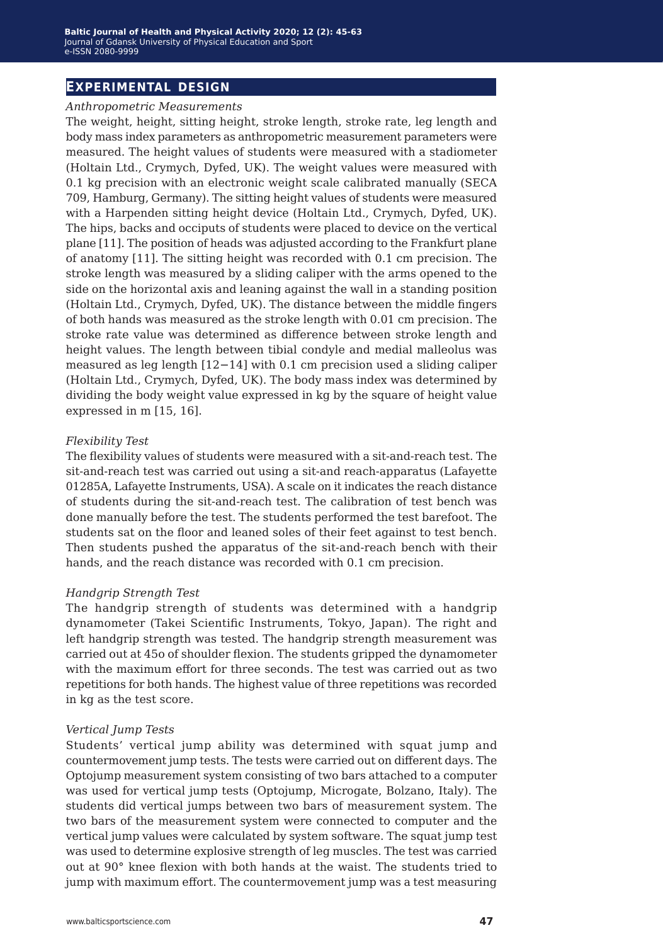### **experimental design**

#### *Anthropometric Measurements*

The weight, height, sitting height, stroke length, stroke rate, leg length and body mass index parameters as anthropometric measurement parameters were measured. The height values of students were measured with a stadiometer (Holtain Ltd., Crymych, Dyfed, UK). The weight values were measured with 0.1 kg precision with an electronic weight scale calibrated manually (SECA 709, Hamburg, Germany). The sitting height values of students were measured with a Harpenden sitting height device (Holtain Ltd., Crymych, Dyfed, UK). The hips, backs and occiputs of students were placed to device on the vertical plane [11]. The position of heads was adjusted according to the Frankfurt plane of anatomy [11]. The sitting height was recorded with 0.1 cm precision. The stroke length was measured by a sliding caliper with the arms opened to the side on the horizontal axis and leaning against the wall in a standing position (Holtain Ltd., Crymych, Dyfed, UK). The distance between the middle fingers of both hands was measured as the stroke length with 0.01 cm precision. The stroke rate value was determined as difference between stroke length and height values. The length between tibial condyle and medial malleolus was measured as leg length [12−14] with 0.1 cm precision used a sliding caliper (Holtain Ltd., Crymych, Dyfed, UK). The body mass index was determined by dividing the body weight value expressed in kg by the square of height value expressed in m [15, 16].

#### *Flexibility Test*

The flexibility values of students were measured with a sit-and-reach test. The sit-and-reach test was carried out using a sit-and reach-apparatus (Lafayette 01285A, Lafayette Instruments, USA). A scale on it indicates the reach distance of students during the sit-and-reach test. The calibration of test bench was done manually before the test. The students performed the test barefoot. The students sat on the floor and leaned soles of their feet against to test bench. Then students pushed the apparatus of the sit-and-reach bench with their hands, and the reach distance was recorded with 0.1 cm precision.

#### *Handgrip Strength Test*

The handgrip strength of students was determined with a handgrip dynamometer (Takei Scientific Instruments, Tokyo, Japan). The right and left handgrip strength was tested. The handgrip strength measurement was carried out at 45o of shoulder flexion. The students gripped the dynamometer with the maximum effort for three seconds. The test was carried out as two repetitions for both hands. The highest value of three repetitions was recorded in kg as the test score.

#### *Vertical Jump Tests*

Students' vertical jump ability was determined with squat jump and countermovement jump tests. The tests were carried out on different days. The Optojump measurement system consisting of two bars attached to a computer was used for vertical jump tests (Optojump, Microgate, Bolzano, Italy). The students did vertical jumps between two bars of measurement system. The two bars of the measurement system were connected to computer and the vertical jump values were calculated by system software. The squat jump test was used to determine explosive strength of leg muscles. The test was carried out at 90° knee flexion with both hands at the waist. The students tried to jump with maximum effort. The countermovement jump was a test measuring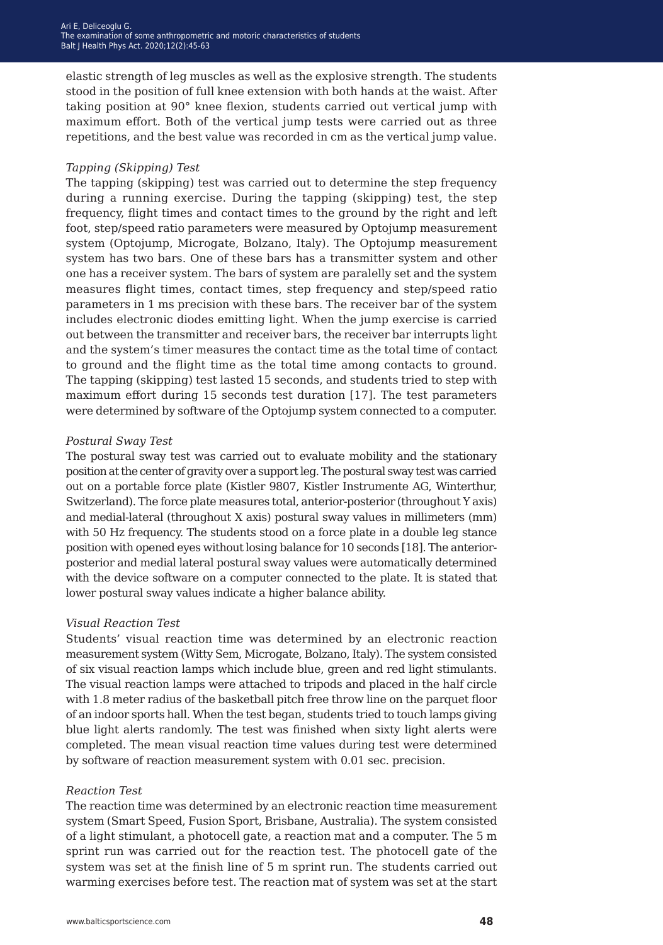elastic strength of leg muscles as well as the explosive strength. The students stood in the position of full knee extension with both hands at the waist. After taking position at 90° knee flexion, students carried out vertical jump with maximum effort. Both of the vertical jump tests were carried out as three repetitions, and the best value was recorded in cm as the vertical jump value.

#### *Tapping (Skipping) Test*

The tapping (skipping) test was carried out to determine the step frequency during a running exercise. During the tapping (skipping) test, the step frequency, flight times and contact times to the ground by the right and left foot, step/speed ratio parameters were measured by Optojump measurement system (Optojump, Microgate, Bolzano, Italy). The Optojump measurement system has two bars. One of these bars has a transmitter system and other one has a receiver system. The bars of system are paralelly set and the system measures flight times, contact times, step frequency and step/speed ratio parameters in 1 ms precision with these bars. The receiver bar of the system includes electronic diodes emitting light. When the jump exercise is carried out between the transmitter and receiver bars, the receiver bar interrupts light and the system's timer measures the contact time as the total time of contact to ground and the flight time as the total time among contacts to ground. The tapping (skipping) test lasted 15 seconds, and students tried to step with maximum effort during 15 seconds test duration [17]. The test parameters were determined by software of the Optojump system connected to a computer.

#### *Postural Sway Test*

The postural sway test was carried out to evaluate mobility and the stationary position at the center of gravity over a support leg. The postural sway test was carried out on a portable force plate (Kistler 9807, Kistler Instrumente AG, Winterthur, Switzerland). The force plate measures total, anterior-posterior (throughout Y axis) and medial-lateral (throughout X axis) postural sway values in millimeters (mm) with 50 Hz frequency. The students stood on a force plate in a double leg stance position with opened eyes without losing balance for 10 seconds [18]. The anteriorposterior and medial lateral postural sway values were automatically determined with the device software on a computer connected to the plate. It is stated that lower postural sway values indicate a higher balance ability.

#### *Visual Reaction Test*

Students' visual reaction time was determined by an electronic reaction measurement system (Witty Sem, Microgate, Bolzano, Italy). The system consisted of six visual reaction lamps which include blue, green and red light stimulants. The visual reaction lamps were attached to tripods and placed in the half circle with 1.8 meter radius of the basketball pitch free throw line on the parquet floor of an indoor sports hall. When the test began, students tried to touch lamps giving blue light alerts randomly. The test was finished when sixty light alerts were completed. The mean visual reaction time values during test were determined by software of reaction measurement system with 0.01 sec. precision.

#### *Reaction Test*

The reaction time was determined by an electronic reaction time measurement system (Smart Speed, Fusion Sport, Brisbane, Australia). The system consisted of a light stimulant, a photocell gate, a reaction mat and a computer. The 5 m sprint run was carried out for the reaction test. The photocell gate of the system was set at the finish line of 5 m sprint run. The students carried out warming exercises before test. The reaction mat of system was set at the start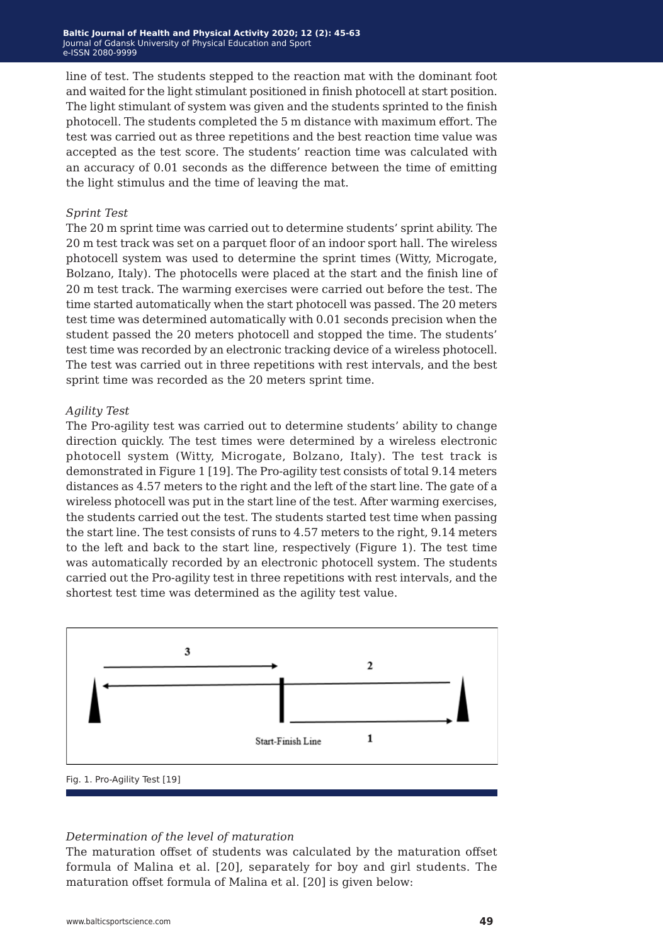line of test. The students stepped to the reaction mat with the dominant foot and waited for the light stimulant positioned in finish photocell at start position. The light stimulant of system was given and the students sprinted to the finish photocell. The students completed the 5 m distance with maximum effort. The test was carried out as three repetitions and the best reaction time value was accepted as the test score. The students' reaction time was calculated with an accuracy of 0.01 seconds as the difference between the time of emitting the light stimulus and the time of leaving the mat.

#### *Sprint Test*

The 20 m sprint time was carried out to determine students' sprint ability. The 20 m test track was set on a parquet floor of an indoor sport hall. The wireless photocell system was used to determine the sprint times (Witty, Microgate, Bolzano, Italy). The photocells were placed at the start and the finish line of 20 m test track. The warming exercises were carried out before the test. The time started automatically when the start photocell was passed. The 20 meters test time was determined automatically with 0.01 seconds precision when the student passed the 20 meters photocell and stopped the time. The students' test time was recorded by an electronic tracking device of a wireless photocell. The test was carried out in three repetitions with rest intervals, and the best sprint time was recorded as the 20 meters sprint time.

#### *Agility Test*

The Pro-agility test was carried out to determine students' ability to change direction quickly. The test times were determined by a wireless electronic photocell system (Witty, Microgate, Bolzano, Italy). The test track is demonstrated in Figure 1 [19]. The Pro-agility test consists of total 9.14 meters distances as 4.57 meters to the right and the left of the start line. The gate of a wireless photocell was put in the start line of the test. After warming exercises, the students carried out the test. The students started test time when passing the start line. The test consists of runs to 4.57 meters to the right, 9.14 meters to the left and back to the start line, respectively (Figure 1). The test time was automatically recorded by an electronic photocell system. The students carried out the Pro-agility test in three repetitions with rest intervals, and the shortest test time was determined as the agility test value.



#### *Determination of the level of maturation*

The maturation offset of students was calculated by the maturation offset formula of Malina et al. [20], separately for boy and girl students. The maturation offset formula of Malina et al. [20] is given below: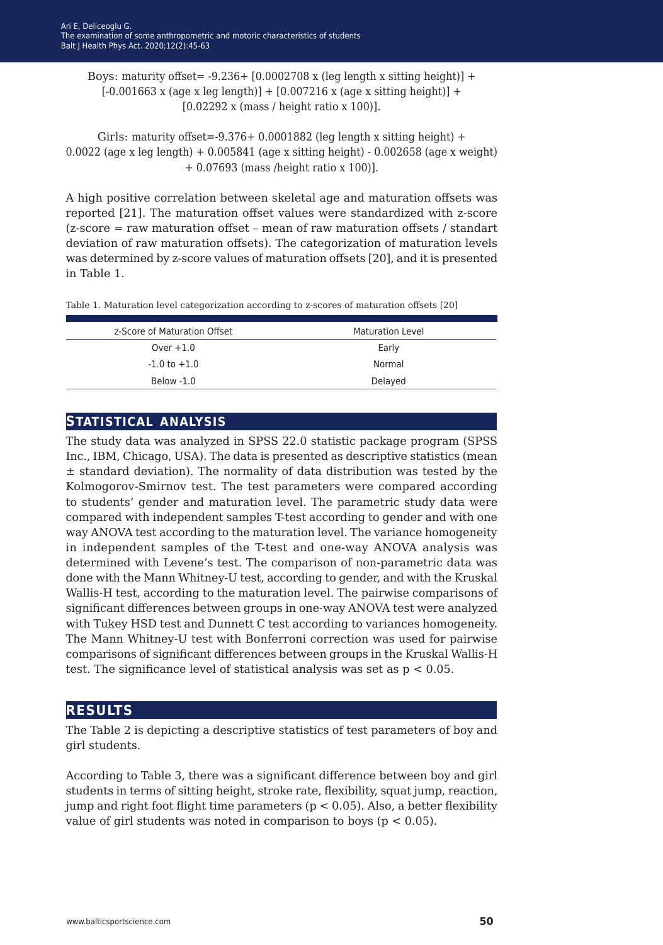Boys: maturity offset =  $-9.236 + 10.0002708$  x (leg length x sitting height)] +  $[-0.001663 \times \text{(age x leg length)}] + [0.007216 \times \text{(age x sitting height)}] +$ [0.02292 x (mass / height ratio x 100)].

Girls: maturity offset=-9.376+  $0.0001882$  (leg length x sitting height) + 0.0022 (age x leg length) + 0.005841 (age x sitting height) - 0.002658 (age x weight) + 0.07693 (mass /height ratio x 100)].

A high positive correlation between skeletal age and maturation offsets was reported [21]. The maturation offset values were standardized with z-score (z-score = raw maturation offset – mean of raw maturation offsets / standart deviation of raw maturation offsets). The categorization of maturation levels was determined by z-score values of maturation offsets [20], and it is presented in Table 1.

Table 1. Maturation level categorization according to z-scores of maturation offsets [20]

| z-Score of Maturation Offset | <b>Maturation Level</b> |
|------------------------------|-------------------------|
| Over $+1.0$                  | Early                   |
| $-1.0$ to $+1.0$             | Normal                  |
| Below -1.0                   | Delayed                 |
|                              |                         |

### **statistical analysis**

The study data was analyzed in SPSS 22.0 statistic package program (SPSS Inc., IBM, Chicago, USA). The data is presented as descriptive statistics (mean  $±$  standard deviation). The normality of data distribution was tested by the Kolmogorov-Smirnov test. The test parameters were compared according to students' gender and maturation level. The parametric study data were compared with independent samples T-test according to gender and with one way ANOVA test according to the maturation level. The variance homogeneity in independent samples of the T-test and one-way ANOVA analysis was determined with Levene's test. The comparison of non-parametric data was done with the Mann Whitney-U test, according to gender, and with the Kruskal Wallis-H test, according to the maturation level. The pairwise comparisons of significant differences between groups in one-way ANOVA test were analyzed with Tukey HSD test and Dunnett C test according to variances homogeneity. The Mann Whitney-U test with Bonferroni correction was used for pairwise comparisons of significant differences between groups in the Kruskal Wallis-H test. The significance level of statistical analysis was set as  $p < 0.05$ .

### **results**

The Table 2 is depicting a descriptive statistics of test parameters of boy and girl students.

According to Table 3, there was a significant difference between boy and girl students in terms of sitting height, stroke rate, flexibility, squat jump, reaction, jump and right foot flight time parameters ( $p < 0.05$ ). Also, a better flexibility value of girl students was noted in comparison to boys ( $p < 0.05$ ).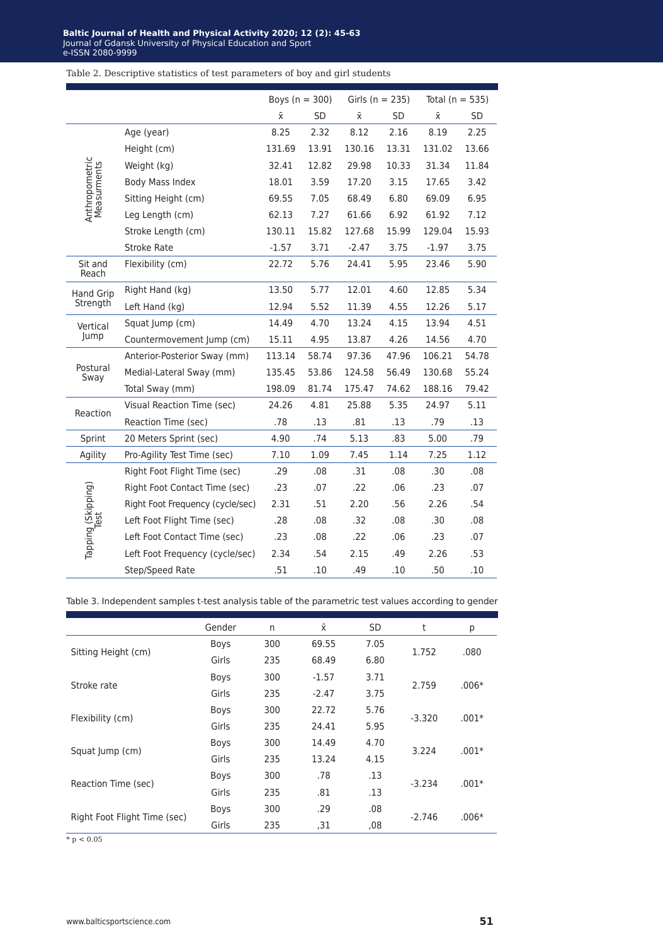Table 2. Descriptive statistics of test parameters of boy and girl students

|                               |                                  | Boys ( $n = 300$ ) |           | Girls ( $n = 235$ ) |       | Total ( $n = 535$ ) |       |
|-------------------------------|----------------------------------|--------------------|-----------|---------------------|-------|---------------------|-------|
|                               |                                  | Χī                 | <b>SD</b> | Χī                  | SD    | $\bar{\mathsf{x}}$  | SD    |
|                               | Age (year)                       | 8.25               | 2.32      | 8.12                | 2.16  | 8.19                | 2.25  |
|                               | Height (cm)                      | 131.69             | 13.91     | 130.16              | 13.31 | 131.02              | 13.66 |
|                               | Weight (kg)                      | 32.41              | 12.82     | 29.98               | 10.33 | 31.34               | 11.84 |
|                               | Body Mass Index                  | 18.01              | 3.59      | 17.20               | 3.15  | 17.65               | 3.42  |
| Anthropometric<br>Measurments | Sitting Height (cm)              | 69.55              | 7.05      | 68.49               | 6.80  | 69.09               | 6.95  |
|                               | Leg Length (cm)                  | 62.13              | 7.27      | 61.66               | 6.92  | 61.92               | 7.12  |
|                               | Stroke Length (cm)               | 130.11             | 15.82     | 127.68              | 15.99 | 129.04              | 15.93 |
|                               | <b>Stroke Rate</b>               | $-1.57$            | 3.71      | $-2.47$             | 3.75  | $-1.97$             | 3.75  |
| Sit and<br>Reach              | Flexibility (cm)                 | 22.72              | 5.76      | 24.41               | 5.95  | 23.46               | 5.90  |
| <b>Hand Grip</b>              | Right Hand (kg)                  | 13.50              | 5.77      | 12.01               | 4.60  | 12.85               | 5.34  |
| Strength                      | Left Hand (kg)                   | 12.94              | 5.52      | 11.39               | 4.55  | 12.26               | 5.17  |
| Vertical                      | Squat Jump (cm)                  | 14.49              | 4.70      | 13.24               | 4.15  | 13.94               | 4.51  |
| Jump                          | Countermovement Jump (cm)        | 15.11              | 4.95      | 13.87               | 4.26  | 14.56               | 4.70  |
|                               | Anterior-Posterior Sway (mm)     | 113.14             | 58.74     | 97.36               | 47.96 | 106.21              | 54.78 |
| Postural<br>Sway              | Medial-Lateral Sway (mm)         | 135.45             | 53.86     | 124.58              | 56.49 | 130.68              | 55.24 |
|                               | Total Sway (mm)                  | 198.09             | 81.74     | 175.47              | 74.62 | 188.16              | 79.42 |
| Reaction                      | Visual Reaction Time (sec)       | 24.26              | 4.81      | 25.88               | 5.35  | 24.97               | 5.11  |
|                               | Reaction Time (sec)              | .78                | .13       | .81                 | .13   | .79                 | .13   |
| Sprint                        | 20 Meters Sprint (sec)           | 4.90               | .74       | 5.13                | .83   | 5.00                | .79   |
| Agility                       | Pro-Agility Test Time (sec)      | 7.10               | 1.09      | 7.45                | 1.14  | 7.25                | 1.12  |
|                               | Right Foot Flight Time (sec)     | .29                | .08       | .31                 | .08   | .30                 | .08   |
|                               | Right Foot Contact Time (sec)    | .23                | .07       | .22                 | .06   | .23                 | .07   |
|                               | Right Foot Frequency (cycle/sec) | 2.31               | .51       | 2.20                | .56   | 2.26                | .54   |
|                               | Left Foot Flight Time (sec)      | .28                | .08       | .32                 | .08   | .30                 | .08   |
| Tapping (Skipping)            | Left Foot Contact Time (sec)     | .23                | .08       | .22                 | .06   | .23                 | .07   |
|                               | Left Foot Frequency (cycle/sec)  | 2.34               | .54       | 2.15                | .49   | 2.26                | .53   |
|                               | Step/Speed Rate                  | .51                | .10       | .49                 | .10   | .50                 | .10   |

Table 3. Independent samples t-test analysis table of the parametric test values according to gender

|                              | Gender      | n   | $\bar{x}$ | <b>SD</b> | t        | р       |
|------------------------------|-------------|-----|-----------|-----------|----------|---------|
|                              | <b>Boys</b> | 300 | 69.55     | 7.05      | 1.752    | .080    |
| Sitting Height (cm)          | Girls       | 235 | 68.49     | 6.80      |          |         |
|                              | Boys        | 300 | $-1.57$   | 3.71      |          |         |
| Stroke rate                  | Girls       | 235 | $-2.47$   | 3.75      | 2.759    | $.006*$ |
|                              | Boys        | 300 | 22.72     | 5.76      |          |         |
| Flexibility (cm)             | Girls       | 235 | 24.41     | 5.95      | $-3.320$ | $.001*$ |
|                              | Boys        | 300 | 14.49     | 4.70      |          |         |
| Squat Jump (cm)              | Girls       | 235 | 13.24     | 4.15      | 3.224    | $.001*$ |
|                              | <b>Boys</b> | 300 | .78       | .13       |          |         |
| Reaction Time (sec)          | Girls       | 235 | .81       | .13       | $-3.234$ | $.001*$ |
|                              | <b>Boys</b> | 300 | .29       | .08       |          | $.006*$ |
| Right Foot Flight Time (sec) | Girls       | 235 | ,31       | ,08       | $-2.746$ |         |

 $\overline{\text{* p} < 0.05}$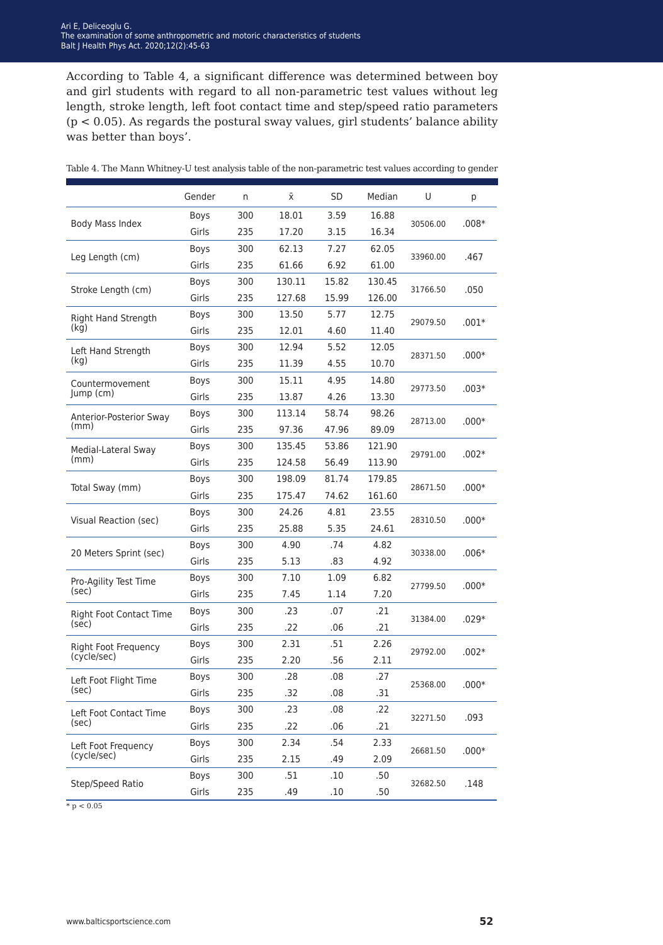According to Table 4, a significant difference was determined between boy and girl students with regard to all non-parametric test values without leg length, stroke length, left foot contact time and step/speed ratio parameters (p < 0.05). As regards the postural sway values, girl students' balance ability was better than boys'.

|                                | Gender | n   | Χī     | <b>SD</b> | Median | U        | р       |  |
|--------------------------------|--------|-----|--------|-----------|--------|----------|---------|--|
| Body Mass Index                | Boys   | 300 | 18.01  | 3.59      | 16.88  |          | $.008*$ |  |
|                                | Girls  | 235 | 17.20  | 3.15      | 16.34  | 30506.00 |         |  |
|                                | Boys   | 300 | 62.13  | 7.27      | 62.05  |          |         |  |
| Leg Length (cm)                | Girls  | 235 | 61.66  | 6.92      | 61.00  | 33960.00 | .467    |  |
|                                | Boys   | 300 | 130.11 | 15.82     | 130.45 |          |         |  |
| Stroke Length (cm)             | Girls  | 235 | 127.68 | 15.99     | 126.00 | 31766.50 | .050    |  |
| Right Hand Strength            | Boys   | 300 | 13.50  | 5.77      | 12.75  | 29079.50 |         |  |
| (kq)                           | Girls  | 235 | 12.01  | 4.60      | 11.40  |          | $.001*$ |  |
| Left Hand Strength             | Boys   | 300 | 12.94  | 5.52      | 12.05  |          |         |  |
| (kg)                           | Girls  | 235 | 11.39  | 4.55      | 10.70  | 28371.50 | $.000*$ |  |
| Countermovement                | Boys   | 300 | 15.11  | 4.95      | 14.80  |          |         |  |
| Jump (cm)                      | Girls  | 235 | 13.87  | 4.26      | 13.30  | 29773.50 | $.003*$ |  |
| Anterior-Posterior Sway        | Boys   | 300 | 113.14 | 58.74     | 98.26  |          |         |  |
| (mm)                           | Girls  | 235 | 97.36  | 47.96     | 89.09  | 28713.00 | $.000*$ |  |
| Medial-Lateral Sway            | Boys   | 300 | 135.45 | 53.86     | 121.90 | 29791.00 | $.002*$ |  |
| (mm)                           | Girls  | 235 | 124.58 | 56.49     | 113.90 |          |         |  |
| Total Sway (mm)                | Boys   | 300 | 198.09 | 81.74     | 179.85 |          | $.000*$ |  |
|                                | Girls  | 235 | 175.47 | 74.62     | 161.60 | 28671.50 |         |  |
| Visual Reaction (sec)          | Boys   | 300 | 24.26  | 4.81      | 23.55  | 28310.50 | $.000*$ |  |
|                                | Girls  | 235 | 25.88  | 5.35      | 24.61  |          |         |  |
| 20 Meters Sprint (sec)         | Boys   | 300 | 4.90   | .74       | 4.82   | 30338.00 | $.006*$ |  |
|                                | Girls  | 235 | 5.13   | .83       | 4.92   |          |         |  |
| Pro-Agility Test Time          | Boys   | 300 | 7.10   | 1.09      | 6.82   | 27799.50 | $.000*$ |  |
| (sec)                          | Girls  | 235 | 7.45   | 1.14      | 7.20   |          |         |  |
| <b>Right Foot Contact Time</b> | Boys   | 300 | .23    | .07       | .21    | 31384.00 | $.029*$ |  |
| (sec)                          | Girls  | 235 | .22    | .06       | .21    |          |         |  |
| Right Foot Frequency           | Boys   | 300 | 2.31   | .51       | 2.26   | 29792.00 | $.002*$ |  |
| (cycle/sec)                    | Girls  | 235 | 2.20   | .56       | 2.11   |          |         |  |
| Left Foot Flight Time          | Boys   | 300 | .28    | .08       | .27    | 25368.00 | $.000*$ |  |
| (sec)                          | Girls  | 235 | .32    | .08       | .31    |          |         |  |
| Left Foot Contact Time         | Boys   | 300 | .23    | .08       | .22    | 32271.50 | .093    |  |
| (sec)                          | Girls  | 235 | .22    | .06       | .21    |          |         |  |
| Left Foot Frequency            | Boys   | 300 | 2.34   | .54       | 2.33   | 26681.50 | $.000*$ |  |
| (cycle/sec)                    | Girls  | 235 | 2.15   | .49       | 2.09   |          |         |  |
|                                | Boys   | 300 | .51    | .10       | .50    |          |         |  |
| Step/Speed Ratio               | Girls  | 235 | .49    | .10       | .50    | 32682.50 | .148    |  |

Table 4. The Mann Whitney-U test analysis table of the non-parametric test values according to gender

 $* p < 0.05$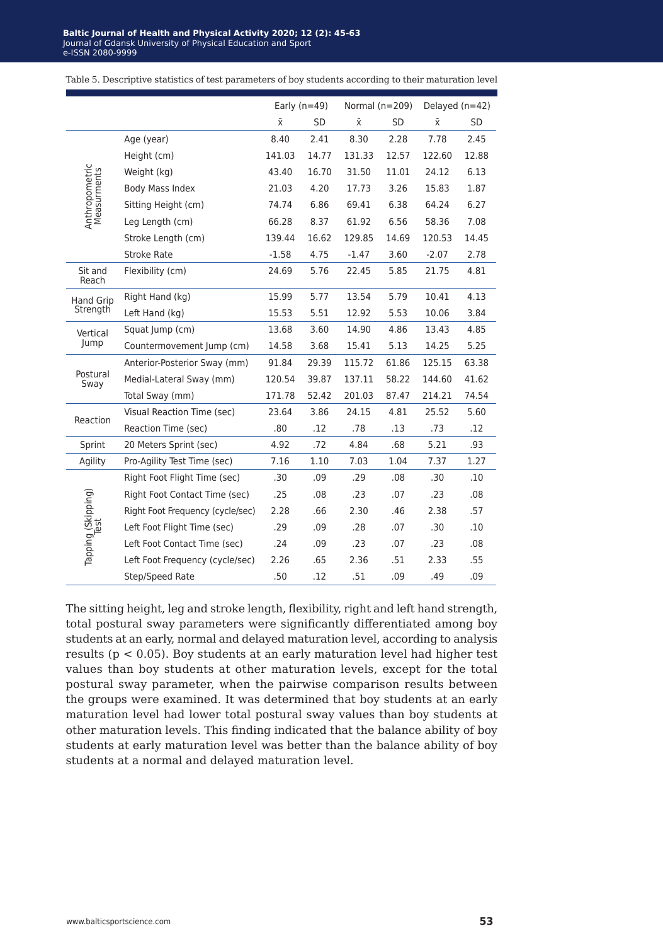|                               |                                  |           | Early $(n=49)$ |           | Normal $(n=209)$ |           | Delayed $(n=42)$ |
|-------------------------------|----------------------------------|-----------|----------------|-----------|------------------|-----------|------------------|
|                               |                                  | $\bar{x}$ | <b>SD</b>      | $\bar{x}$ | <b>SD</b>        | $\bar{x}$ | SD               |
|                               | Age (year)                       | 8.40      | 2.41           | 8.30      | 2.28             | 7.78      | 2.45             |
|                               | Height (cm)                      | 141.03    | 14.77          | 131.33    | 12.57            | 122.60    | 12.88            |
|                               | Weight (kg)                      | 43.40     | 16.70          | 31.50     | 11.01            | 24.12     | 6.13             |
| Anthropometric<br>Measurments | Body Mass Index                  | 21.03     | 4.20           | 17.73     | 3.26             | 15.83     | 1.87             |
|                               | Sitting Height (cm)              | 74.74     | 6.86           | 69.41     | 6.38             | 64.24     | 6.27             |
|                               | Leg Length (cm)                  | 66.28     | 8.37           | 61.92     | 6.56             | 58.36     | 7.08             |
|                               | Stroke Length (cm)               | 139.44    | 16.62          | 129.85    | 14.69            | 120.53    | 14.45            |
|                               | <b>Stroke Rate</b>               | $-1.58$   | 4.75           | $-1.47$   | 3.60             | $-2.07$   | 2.78             |
| Sit and<br>Reach              | Flexibility (cm)                 | 24.69     | 5.76           | 22.45     | 5.85             | 21.75     | 4.81             |
| <b>Hand Grip</b>              | Right Hand (kg)                  | 15.99     | 5.77           | 13.54     | 5.79             | 10.41     | 4.13             |
| Strength                      | Left Hand (kg)                   | 15.53     | 5.51           | 12.92     | 5.53             | 10.06     | 3.84             |
| Vertical                      | Squat Jump (cm)                  | 13.68     | 3.60           | 14.90     | 4.86             | 13.43     | 4.85             |
| Jump                          | Countermovement Jump (cm)        | 14.58     | 3.68           | 15.41     | 5.13             | 14.25     | 5.25             |
|                               | Anterior-Posterior Sway (mm)     | 91.84     | 29.39          | 115.72    | 61.86            | 125.15    | 63.38            |
| Postural<br>Sway              | Medial-Lateral Sway (mm)         | 120.54    | 39.87          | 137.11    | 58.22            | 144.60    | 41.62            |
|                               | Total Sway (mm)                  | 171.78    | 52.42          | 201.03    | 87.47            | 214.21    | 74.54            |
| Reaction                      | Visual Reaction Time (sec)       | 23.64     | 3.86           | 24.15     | 4.81             | 25.52     | 5.60             |
|                               | Reaction Time (sec)              | .80       | .12            | .78       | .13              | .73       | .12              |
| Sprint                        | 20 Meters Sprint (sec)           | 4.92      | .72            | 4.84      | .68              | 5.21      | .93              |
| Agility                       | Pro-Agility Test Time (sec)      | 7.16      | 1.10           | 7.03      | 1.04             | 7.37      | 1.27             |
|                               | Right Foot Flight Time (sec)     | .30       | .09            | .29       | .08              | .30       | .10              |
|                               | Right Foot Contact Time (sec)    | .25       | .08            | .23       | .07              | .23       | .08              |
|                               | Right Foot Frequency (cycle/sec) | 2.28      | .66            | 2.30      | .46              | 2.38      | .57              |
|                               | Left Foot Flight Time (sec)      | .29       | .09            | .28       | .07              | .30       | .10              |
| Tapping (Skipping)            | Left Foot Contact Time (sec)     | .24       | .09            | .23       | .07              | .23       | .08              |
|                               | Left Foot Frequency (cycle/sec)  | 2.26      | .65            | 2.36      | .51              | 2.33      | .55              |
|                               | Step/Speed Rate                  | .50       | .12            | .51       | .09              | .49       | .09              |

Table 5. Descriptive statistics of test parameters of boy students according to their maturation level

The sitting height, leg and stroke length, flexibility, right and left hand strength, total postural sway parameters were significantly differentiated among boy students at an early, normal and delayed maturation level, according to analysis results ( $p < 0.05$ ). Boy students at an early maturation level had higher test values than boy students at other maturation levels, except for the total postural sway parameter, when the pairwise comparison results between the groups were examined. It was determined that boy students at an early maturation level had lower total postural sway values than boy students at other maturation levels. This finding indicated that the balance ability of boy students at early maturation level was better than the balance ability of boy students at a normal and delayed maturation level.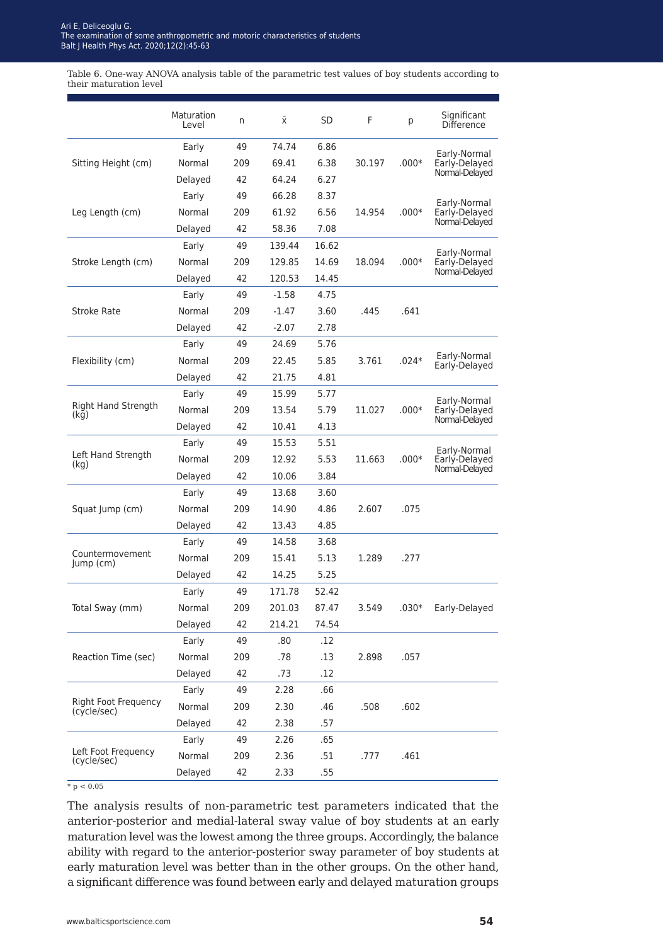Table 6. One-way ANOVA analysis table of the parametric test values of boy students according to their maturation level

|                                            | Maturation<br>Level | n   | Χī      | SD    | F      | р       | Significant<br><b>Difference</b> |
|--------------------------------------------|---------------------|-----|---------|-------|--------|---------|----------------------------------|
|                                            | Early               | 49  | 74.74   | 6.86  |        |         | Early-Normal                     |
| Sitting Height (cm)                        | Normal              | 209 | 69.41   | 6.38  | 30.197 | $.000*$ | Early-Delayed                    |
|                                            | Delayed             | 42  | 64.24   | 6.27  |        |         | Normal-Delayed                   |
|                                            | Early               | 49  | 66.28   | 8.37  |        |         | Early-Normal                     |
| Leg Length (cm)                            | Normal              | 209 | 61.92   | 6.56  | 14.954 | $.000*$ | Early-Delayed                    |
|                                            | Delayed             | 42  | 58.36   | 7.08  |        |         | Normal-Delayed                   |
|                                            | Early               | 49  | 139.44  | 16.62 |        |         | Early-Normal                     |
| Stroke Length (cm)                         | Normal              | 209 | 129.85  | 14.69 | 18.094 | $.000*$ | Early-Delayed                    |
|                                            | Delayed             | 42  | 120.53  | 14.45 |        |         | Normal-Delayed                   |
|                                            | Early               | 49  | $-1.58$ | 4.75  |        |         |                                  |
| <b>Stroke Rate</b>                         | Normal              | 209 | $-1.47$ | 3.60  | .445   | .641    |                                  |
|                                            | Delayed             | 42  | $-2.07$ | 2.78  |        |         |                                  |
|                                            | Early               | 49  | 24.69   | 5.76  |        |         |                                  |
| Flexibility (cm)                           | Normal              | 209 | 22.45   | 5.85  | 3.761  | $.024*$ | Early-Normal<br>Early-Delayed    |
|                                            | Delayed             | 42  | 21.75   | 4.81  |        |         |                                  |
|                                            | Early               | 49  | 15.99   | 5.77  |        |         |                                  |
| <b>Right Hand Strength</b><br>(kg)         | Normal              | 209 | 13.54   | 5.79  | 11.027 | $.000*$ | Early-Normal<br>Early-Delayed    |
|                                            | Delayed             | 42  | 10.41   | 4.13  |        |         | Normal-Delayed                   |
|                                            | Early               | 49  | 15.53   | 5.51  |        |         |                                  |
| Left Hand Strength<br>(kg)                 | Normal              | 209 | 12.92   | 5.53  | 11.663 | $.000*$ | Early-Normal<br>Early-Delayed    |
|                                            | Delayed             | 42  | 10.06   | 3.84  |        |         | Normal-Delayed                   |
|                                            | Early               | 49  | 13.68   | 3.60  |        |         |                                  |
| Squat Jump (cm)                            | Normal              | 209 | 14.90   | 4.86  | 2.607  | .075    |                                  |
|                                            | Delayed             | 42  | 13.43   | 4.85  |        |         |                                  |
|                                            | Early               | 49  | 14.58   | 3.68  |        |         |                                  |
| Countermovement<br>Jump (cm)               | Normal              | 209 | 15.41   | 5.13  | 1.289  | .277    |                                  |
|                                            | Delayed             | 42  | 14.25   | 5.25  |        |         |                                  |
|                                            | Early               | 49  | 171.78  | 52.42 |        |         |                                  |
| Total Sway (mm)                            | Normal              | 209 | 201.03  | 87.47 | 3.549  | $.030*$ | Early-Delayed                    |
|                                            | Delayed             | 42  | 214.21  | 74.54 |        |         |                                  |
|                                            | Early               | 49  | .80     | .12   |        |         |                                  |
| Reaction Time (sec)                        | Normal              | 209 | .78     | .13   | 2.898  | .057    |                                  |
|                                            | Delayed             | 42  | .73     | .12   |        |         |                                  |
| <b>Right Foot Frequency</b><br>(cycle/sec) | Early               | 49  | 2.28    | .66   |        |         |                                  |
|                                            | Normal              | 209 | 2.30    | .46   | .508   | .602    |                                  |
|                                            | Delayed             | 42  | 2.38    | .57   |        |         |                                  |
|                                            | Early               | 49  | 2.26    | .65   |        |         |                                  |
| Left Foot Frequency                        | Normal              | 209 | 2.36    | .51   | .777   | .461    |                                  |
| (cycle/sec)                                | Delayed             | 42  | 2.33    | .55   |        |         |                                  |

 $*$  p < 0.05

The analysis results of non-parametric test parameters indicated that the anterior-posterior and medial-lateral sway value of boy students at an early maturation level was the lowest among the three groups. Accordingly, the balance ability with regard to the anterior-posterior sway parameter of boy students at early maturation level was better than in the other groups. On the other hand, a significant difference was found between early and delayed maturation groups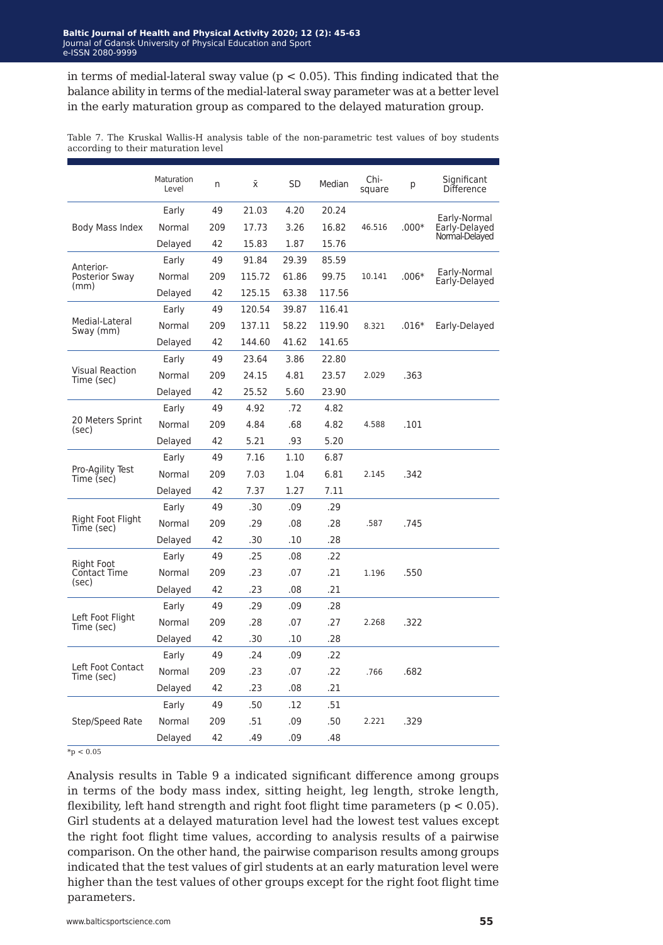in terms of medial-lateral sway value ( $p < 0.05$ ). This finding indicated that the balance ability in terms of the medial-lateral sway parameter was at a better level in the early maturation group as compared to the delayed maturation group.

Table 7. The Kruskal Wallis-H analysis table of the non-parametric test values of boy students according to their maturation level

|                                      | Maturation<br>Level | n   | Ϋ́     | <b>SD</b> | Median | Chi-<br>square | р       | Significant<br><b>Difference</b> |
|--------------------------------------|---------------------|-----|--------|-----------|--------|----------------|---------|----------------------------------|
|                                      | Early               | 49  | 21.03  | 4.20      | 20.24  |                |         |                                  |
| Body Mass Index                      | Normal              | 209 | 17.73  | 3.26      | 16.82  | 46.516         | $.000*$ | Early-Normal<br>Early-Delayed    |
|                                      | Delayed             | 42  | 15.83  | 1.87      | 15.76  |                |         | Normal-Delayed                   |
| Anterior-                            | Early               | 49  | 91.84  | 29.39     | 85.59  |                |         |                                  |
| <b>Posterior Sway</b>                | Normal              | 209 | 115.72 | 61.86     | 99.75  | 10.141         | $.006*$ | Early-Normal<br>Early-Delayed    |
| (mm)                                 | Delayed             | 42  | 125.15 | 63.38     | 117.56 |                |         |                                  |
|                                      | Early               | 49  | 120.54 | 39.87     | 116.41 |                |         |                                  |
| Medial-Lateral<br>Sway (mm)          | Normal              | 209 | 137.11 | 58.22     | 119.90 | 8.321          | $.016*$ | Early-Delayed                    |
|                                      | Delayed             | 42  | 144.60 | 41.62     | 141.65 |                |         |                                  |
|                                      | Early               | 49  | 23.64  | 3.86      | 22.80  |                |         |                                  |
| <b>Visual Reaction</b><br>Time (sec) | Normal              | 209 | 24.15  | 4.81      | 23.57  | 2.029          | .363    |                                  |
|                                      | Delayed             | 42  | 25.52  | 5.60      | 23.90  |                |         |                                  |
|                                      | Early               | 49  | 4.92   | .72       | 4.82   |                |         |                                  |
| 20 Meters Sprint<br>(sec)            | Normal              | 209 | 4.84   | .68       | 4.82   | 4.588          | .101    |                                  |
|                                      | Delayed             | 42  | 5.21   | .93       | 5.20   |                |         |                                  |
|                                      | Early               | 49  | 7.16   | 1.10      | 6.87   |                |         |                                  |
| Pro-Agility Test<br>Time (sec)       | Normal              | 209 | 7.03   | 1.04      | 6.81   | 2.145          | .342    |                                  |
|                                      | Delayed             | 42  | 7.37   | 1.27      | 7.11   |                |         |                                  |
|                                      | Early               | 49  | .30    | .09       | .29    |                |         |                                  |
| Right Foot Flight<br>Time (sec)      | Normal              | 209 | .29    | .08       | .28    | .587           | .745    |                                  |
|                                      | Delayed             | 42  | .30    | .10       | .28    |                |         |                                  |
|                                      | Early               | 49  | .25    | .08       | .22    |                |         |                                  |
| Right Foot<br>Contact Time           | Normal              | 209 | .23    | .07       | .21    | 1.196          | .550    |                                  |
| (sec)                                | Delayed             | 42  | .23    | .08       | .21    |                |         |                                  |
|                                      | Early               | 49  | .29    | .09       | .28    |                |         |                                  |
| Left Foot Flight<br>Time (sec)       | Normal              | 209 | .28    | .07       | .27    | 2.268          | .322    |                                  |
|                                      | Delayed             | 42  | .30    | .10       | .28    |                |         |                                  |
|                                      | Early               | 49  | .24    | .09       | .22    |                |         |                                  |
| Left Foot Contact<br>Time (sec)      | Normal              | 209 | .23    | .07       | .22    | .766           | .682    |                                  |
|                                      | Delayed             | 42  | .23    | .08       | .21    |                |         |                                  |
|                                      | Early               | 49  | .50    | .12       | .51    |                |         |                                  |
| Step/Speed Rate                      | Normal              | 209 | .51    | .09       | .50    | 2.221          | .329    |                                  |
|                                      | Delayed             | 42  | .49    | .09       | .48    |                |         |                                  |

 $\frac{}{^{*}p}$  < 0.05

Analysis results in Table 9 a indicated significant difference among groups in terms of the body mass index, sitting height, leg length, stroke length, flexibility, left hand strength and right foot flight time parameters ( $p < 0.05$ ). Girl students at a delayed maturation level had the lowest test values except the right foot flight time values, according to analysis results of a pairwise comparison. On the other hand, the pairwise comparison results among groups indicated that the test values of girl students at an early maturation level were higher than the test values of other groups except for the right foot flight time parameters.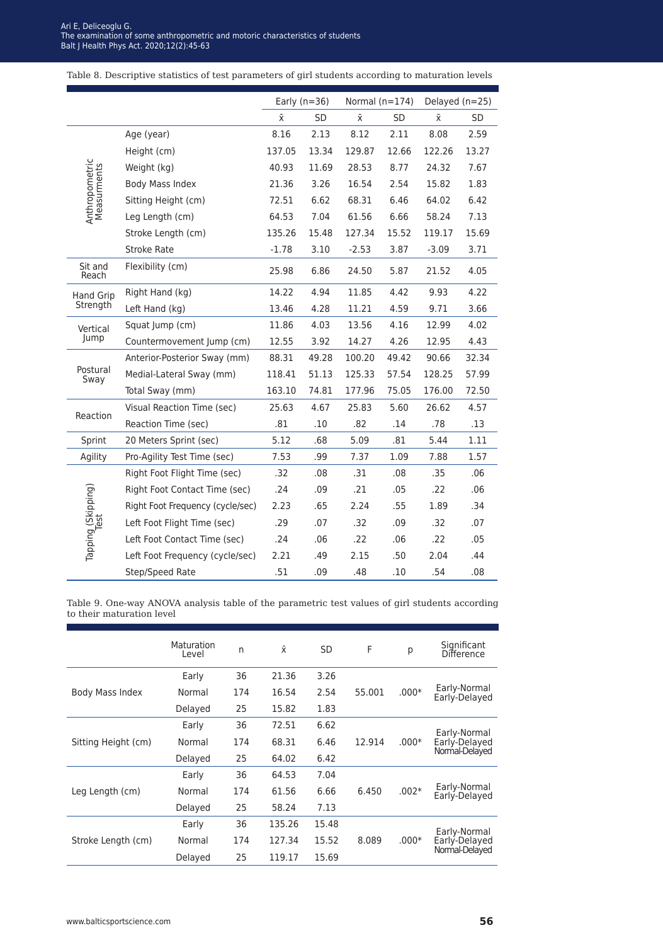Table 8. Descriptive statistics of test parameters of girl students according to maturation levels

|                               |                                  | Early $(n=36)$ |           | Normal $(n=174)$ |           | Delayed (n=25) |       |
|-------------------------------|----------------------------------|----------------|-----------|------------------|-----------|----------------|-------|
|                               |                                  | $\bar{x}$      | <b>SD</b> | ΧĪ.              | <b>SD</b> | Χī             | SD    |
|                               | Age (year)                       | 8.16           | 2.13      | 8.12             | 2.11      | 8.08           | 2.59  |
|                               | Height (cm)                      | 137.05         | 13.34     | 129.87           | 12.66     | 122.26         | 13.27 |
|                               | Weight (kg)                      | 40.93          | 11.69     | 28.53            | 8.77      | 24.32          | 7.67  |
| Anthropometric<br>Measurments | Body Mass Index                  | 21.36          | 3.26      | 16.54            | 2.54      | 15.82          | 1.83  |
|                               | Sitting Height (cm)              | 72.51          | 6.62      | 68.31            | 6.46      | 64.02          | 6.42  |
|                               | Leg Length (cm)                  | 64.53          | 7.04      | 61.56            | 6.66      | 58.24          | 7.13  |
|                               | Stroke Length (cm)               | 135.26         | 15.48     | 127.34           | 15.52     | 119.17         | 15.69 |
|                               | <b>Stroke Rate</b>               | $-1.78$        | 3.10      | $-2.53$          | 3.87      | $-3.09$        | 3.71  |
| Sit and<br>Reach              | Flexibility (cm)                 | 25.98          | 6.86      | 24.50            | 5.87      | 21.52          | 4.05  |
| <b>Hand Grip</b>              | Right Hand (kg)                  | 14.22          | 4.94      | 11.85            | 4.42      | 9.93           | 4.22  |
| Strength                      | Left Hand (kg)                   | 13.46          | 4.28      | 11.21            | 4.59      | 9.71           | 3.66  |
| Vertical                      | Squat Jump (cm)                  | 11.86          | 4.03      | 13.56            | 4.16      | 12.99          | 4.02  |
| Jump                          | Countermovement Jump (cm)        | 12.55          | 3.92      | 14.27            | 4.26      | 12.95          | 4.43  |
|                               | Anterior-Posterior Sway (mm)     | 88.31          | 49.28     | 100.20           | 49.42     | 90.66          | 32.34 |
| Postural<br>Sway              | Medial-Lateral Sway (mm)         | 118.41         | 51.13     | 125.33           | 57.54     | 128.25         | 57.99 |
|                               | Total Sway (mm)                  | 163.10         | 74.81     | 177.96           | 75.05     | 176.00         | 72.50 |
| Reaction                      | Visual Reaction Time (sec)       | 25.63          | 4.67      | 25.83            | 5.60      | 26.62          | 4.57  |
|                               | Reaction Time (sec)              | .81            | .10       | .82              | .14       | .78            | .13   |
| Sprint                        | 20 Meters Sprint (sec)           | 5.12           | .68       | 5.09             | .81       | 5.44           | 1.11  |
| Agility                       | Pro-Agility Test Time (sec)      | 7.53           | .99       | 7.37             | 1.09      | 7.88           | 1.57  |
|                               | Right Foot Flight Time (sec)     | .32            | .08       | .31              | .08       | .35            | .06   |
|                               | Right Foot Contact Time (sec)    | .24            | .09       | .21              | .05       | .22            | .06   |
|                               | Right Foot Frequency (cycle/sec) | 2.23           | .65       | 2.24             | .55       | 1.89           | .34   |
|                               | Left Foot Flight Time (sec)      | .29            | .07       | .32              | .09       | .32            | .07   |
| Tapping (Skipping)            | Left Foot Contact Time (sec)     | .24            | .06       | .22              | .06       | .22            | .05   |
|                               | Left Foot Frequency (cycle/sec)  | 2.21           | .49       | 2.15             | .50       | 2.04           | .44   |
|                               | Step/Speed Rate                  | .51            | .09       | .48              | .10       | .54            | .08   |

Table 9. One-way ANOVA analysis table of the parametric test values of girl students according to their maturation level

|                     | Maturation<br>Level | n   | $\bar{x}$ | <b>SD</b>      | F       | р             | Significant<br><b>Difference</b> |  |
|---------------------|---------------------|-----|-----------|----------------|---------|---------------|----------------------------------|--|
|                     | Early               | 36  | 21.36     | 3.26           |         |               |                                  |  |
| Body Mass Index     | Normal              | 174 | 16.54     | 2.54           | 55.001  | $.000*$       | Early-Normal<br>Early-Delayed    |  |
|                     | Delayed             | 25  | 15.82     | 1.83           |         |               |                                  |  |
|                     | Early               | 36  | 72.51     | 6.62           |         | Early-Normal  |                                  |  |
| Sitting Height (cm) | Normal              | 174 | 68.31     | 12.914<br>6.46 | $.000*$ | Early-Delayed |                                  |  |
|                     | Delayed             | 25  | 64.02     | 6.42           |         |               | Normal-Delayed                   |  |
|                     | Early               | 36  | 64.53     | 7.04           |         |               |                                  |  |
| Leg Length (cm)     | Normal              | 174 | 61.56     | 6.66           | 6.450   | $.002*$       | Early-Normal<br>Early-Delayed    |  |
|                     | Delayed             | 25  | 58.24     | 7.13           |         |               |                                  |  |
| Stroke Length (cm)  | Early               | 36  | 135.26    | 15.48          |         |               | Early-Normal                     |  |
|                     | Normal              | 174 | 127.34    | 15.52          | 8.089   | $.000*$       | Early-Delayed                    |  |
|                     | Delayed             | 25  | 119.17    | 15.69          |         |               | Normal-Delayed                   |  |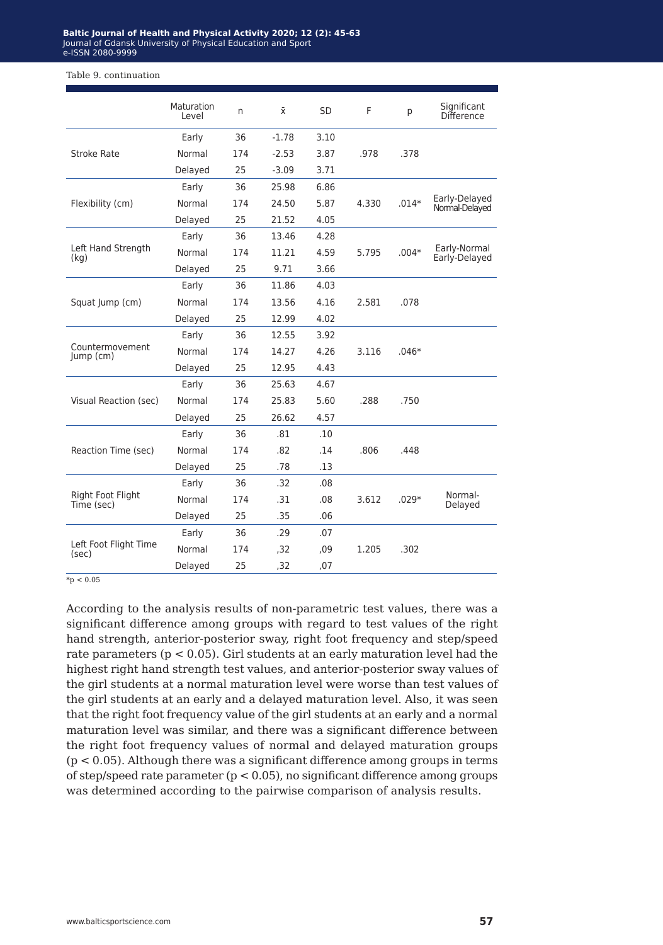#### Table 9. continuation

|                                 | <b>Maturation</b><br>Level | n   | $\bar{x}$ | <b>SD</b> | F     | p       | Significant<br><b>Difference</b> |
|---------------------------------|----------------------------|-----|-----------|-----------|-------|---------|----------------------------------|
|                                 | Early                      | 36  | $-1.78$   | 3.10      |       |         |                                  |
| Stroke Rate                     | Normal                     | 174 | $-2.53$   | 3.87      | .978  | .378    |                                  |
|                                 | Delayed                    | 25  | $-3.09$   | 3.71      |       |         |                                  |
|                                 | Early                      | 36  | 25.98     | 6.86      |       |         |                                  |
| Flexibility (cm)                | Normal                     | 174 | 24.50     | 5.87      | 4.330 | $.014*$ | Early-Delayed<br>Normal-Delayed  |
|                                 | Delayed                    | 25  | 21.52     | 4.05      |       |         |                                  |
|                                 | Early                      | 36  | 13.46     | 4.28      |       |         |                                  |
| Left Hand Strength<br>(kq)      | Normal                     | 174 | 11.21     | 4.59      | 5.795 | $.004*$ | Early-Normal<br>Early-Delayed    |
|                                 | Delayed                    | 25  | 9.71      | 3.66      |       |         |                                  |
|                                 | Early                      | 36  | 11.86     | 4.03      |       |         |                                  |
| Squat Jump (cm)                 | Normal                     | 174 | 13.56     | 4.16      | 2.581 | .078    |                                  |
|                                 | Delayed                    | 25  | 12.99     | 4.02      |       |         |                                  |
|                                 | Early                      | 36  | 12.55     | 3.92      |       |         |                                  |
| Countermovement<br>Jump (cm)    | Normal                     | 174 | 14.27     | 4.26      | 3.116 | $.046*$ |                                  |
|                                 | Delayed                    | 25  | 12.95     | 4.43      |       |         |                                  |
|                                 | Early                      | 36  | 25.63     | 4.67      |       |         |                                  |
| Visual Reaction (sec)           | Normal                     | 174 | 25.83     | 5.60      | .288  | .750    |                                  |
|                                 | Delayed                    | 25  | 26.62     | 4.57      |       |         |                                  |
|                                 | Early                      | 36  | .81       | .10       |       |         |                                  |
| Reaction Time (sec)             | Normal                     | 174 | .82       | .14       | .806  | .448    |                                  |
|                                 | Delayed                    | 25  | .78       | .13       |       |         |                                  |
|                                 | Early                      | 36  | .32       | .08       |       |         |                                  |
| Right Foot Flight<br>Time (sec) | Normal                     | 174 | .31       | .08       | 3.612 | $.029*$ | Normal-<br>Delayed               |
|                                 | Delayed                    | 25  | .35       | .06       |       |         |                                  |
|                                 | Early                      | 36  | .29       | .07       |       |         |                                  |
| Left Foot Flight Time<br>(sec)  | Normal                     | 174 | .32       | .09       | 1.205 | .302    |                                  |
|                                 | Delayed                    | 25  | ,32       | ,07       |       |         |                                  |

 $*_{p} < 0.05$ 

According to the analysis results of non-parametric test values, there was a significant difference among groups with regard to test values of the right hand strength, anterior-posterior sway, right foot frequency and step/speed rate parameters ( $p < 0.05$ ). Girl students at an early maturation level had the highest right hand strength test values, and anterior-posterior sway values of the girl students at a normal maturation level were worse than test values of the girl students at an early and a delayed maturation level. Also, it was seen that the right foot frequency value of the girl students at an early and a normal maturation level was similar, and there was a significant difference between the right foot frequency values of normal and delayed maturation groups (p < 0.05). Although there was a significant difference among groups in terms of step/speed rate parameter (p < 0.05), no significant difference among groups was determined according to the pairwise comparison of analysis results.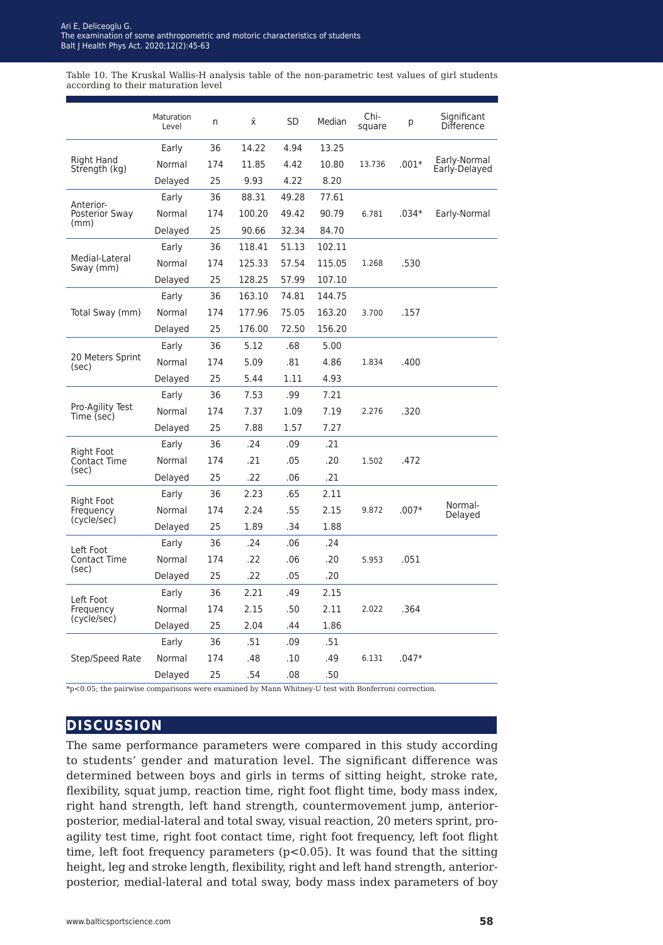Table 10. The Kruskal Wallis-H analysis table of the non-parametric test values of girl students according to their maturation level

|                                            | Maturation<br>Level | n   | Χī     | SD    | Median | Chi-<br>square | р       | Significant<br>Difference     |
|--------------------------------------------|---------------------|-----|--------|-------|--------|----------------|---------|-------------------------------|
| Right Hand<br>Strength (kg)                | Early               | 36  | 14.22  | 4.94  | 13.25  |                |         |                               |
|                                            | Normal              | 174 | 11.85  | 4.42  | 10.80  | 13.736         | $.001*$ | Early-Normal<br>Early-Delayed |
|                                            | Delayed             | 25  | 9.93   | 4.22  | 8.20   |                |         |                               |
| Anterior-<br>Posterior Sway<br>(mm)        | Early               | 36  | 88.31  | 49.28 | 77.61  |                |         |                               |
|                                            | Normal              | 174 | 100.20 | 49.42 | 90.79  | 6.781          | $.034*$ | Early-Normal                  |
|                                            | Delayed             | 25  | 90.66  | 32.34 | 84.70  |                |         |                               |
| Medial-Lateral<br>Sway (mm)                | Early               | 36  | 118.41 | 51.13 | 102.11 |                |         |                               |
|                                            | Normal              | 174 | 125.33 | 57.54 | 115.05 | 1.268          | .530    |                               |
|                                            | Delayed             | 25  | 128.25 | 57.99 | 107.10 |                |         |                               |
| Total Sway (mm)                            | Early               | 36  | 163.10 | 74.81 | 144.75 |                |         |                               |
|                                            | Normal              | 174 | 177.96 | 75.05 | 163.20 | 3.700          | .157    |                               |
|                                            | Delayed             | 25  | 176.00 | 72.50 | 156.20 |                |         |                               |
| 20 Meters Sprint<br>(sec)                  | Early               | 36  | 5.12   | .68   | 5.00   |                |         |                               |
|                                            | Normal              | 174 | 5.09   | .81   | 4.86   | 1.834          | .400    |                               |
|                                            | Delayed             | 25  | 5.44   | 1.11  | 4.93   |                |         |                               |
| Pro-Agility Test<br>Time (sec)             | Early               | 36  | 7.53   | .99   | 7.21   |                |         |                               |
|                                            | Normal              | 174 | 7.37   | 1.09  | 7.19   | 2.276          | .320    |                               |
|                                            | Delayed             | 25  | 7.88   | 1.57  | 7.27   |                |         |                               |
| Right Foot<br><b>Contact Time</b><br>(sec) | Early               | 36  | .24    | .09   | .21    |                |         |                               |
|                                            | Normal              | 174 | .21    | .05   | .20    | 1.502          | .472    |                               |
|                                            | Delayed             | 25  | .22    | .06   | .21    |                |         |                               |
| Right Foot<br>Frequency<br>(cycle/sec)     | Early               | 36  | 2.23   | .65   | 2.11   |                |         |                               |
|                                            | Normal              | 174 | 2.24   | .55   | 2.15   | 9.872          | $.007*$ | Normal-                       |
|                                            | Delayed             | 25  | 1.89   | .34   | 1.88   |                |         | Delayed                       |
| Left Foot<br>Contact Time<br>(sec)         | Early               | 36  | .24    | .06   | .24    |                |         |                               |
|                                            | Normal              | 174 | .22    | .06   | .20    | 5.953          | .051    |                               |
|                                            | Delayed             | 25  | .22    | .05   | .20    |                |         |                               |
| Left Foot<br>Frequency<br>(cycle/sec)      | Early               | 36  | 2.21   | .49   | 2.15   |                |         |                               |
|                                            | Normal              | 174 | 2.15   | .50   | 2.11   | 2.022          | .364    |                               |
|                                            | Delayed             | 25  | 2.04   | .44   | 1.86   |                |         |                               |
| Step/Speed Rate                            | Early               | 36  | .51    | .09   | .51    |                |         |                               |
|                                            | Normal              | 174 | .48    | .10   | .49    | 6.131          | $.047*$ |                               |
|                                            | Delayed             | 25  | .54    | .08   | .50    |                |         |                               |

\*p<0.05; the pairwise comparisons were examined by Mann Whitney-U test with Bonferroni correction.

### **discussion**

The same performance parameters were compared in this study according to students' gender and maturation level. The significant difference was determined between boys and girls in terms of sitting height, stroke rate, flexibility, squat jump, reaction time, right foot flight time, body mass index, right hand strength, left hand strength, countermovement jump, anteriorposterior, medial-lateral and total sway, visual reaction, 20 meters sprint, proagility test time, right foot contact time, right foot frequency, left foot flight time, left foot frequency parameters ( $p<0.05$ ). It was found that the sitting height, leg and stroke length, flexibility, right and left hand strength, anteriorposterior, medial-lateral and total sway, body mass index parameters of boy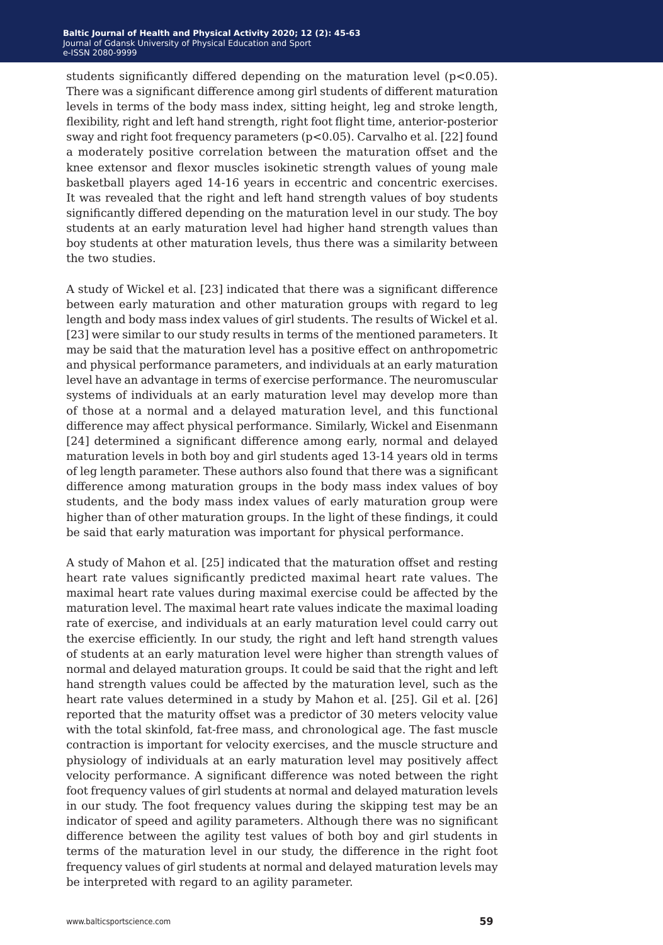students significantly differed depending on the maturation level (p<0.05). There was a significant difference among girl students of different maturation levels in terms of the body mass index, sitting height, leg and stroke length, flexibility, right and left hand strength, right foot flight time, anterior-posterior sway and right foot frequency parameters (p<0.05). Carvalho et al. [22] found a moderately positive correlation between the maturation offset and the knee extensor and flexor muscles isokinetic strength values of young male basketball players aged 14-16 years in eccentric and concentric exercises. It was revealed that the right and left hand strength values of boy students significantly differed depending on the maturation level in our study. The boy students at an early maturation level had higher hand strength values than boy students at other maturation levels, thus there was a similarity between the two studies.

A study of Wickel et al. [23] indicated that there was a significant difference between early maturation and other maturation groups with regard to leg length and body mass index values of girl students. The results of Wickel et al. [23] were similar to our study results in terms of the mentioned parameters. It may be said that the maturation level has a positive effect on anthropometric and physical performance parameters, and individuals at an early maturation level have an advantage in terms of exercise performance. The neuromuscular systems of individuals at an early maturation level may develop more than of those at a normal and a delayed maturation level, and this functional difference may affect physical performance. Similarly, Wickel and Eisenmann [24] determined a significant difference among early, normal and delayed maturation levels in both boy and girl students aged 13-14 years old in terms of leg length parameter. These authors also found that there was a significant difference among maturation groups in the body mass index values of boy students, and the body mass index values of early maturation group were higher than of other maturation groups. In the light of these findings, it could be said that early maturation was important for physical performance.

A study of Mahon et al. [25] indicated that the maturation offset and resting heart rate values significantly predicted maximal heart rate values. The maximal heart rate values during maximal exercise could be affected by the maturation level. The maximal heart rate values indicate the maximal loading rate of exercise, and individuals at an early maturation level could carry out the exercise efficiently. In our study, the right and left hand strength values of students at an early maturation level were higher than strength values of normal and delayed maturation groups. It could be said that the right and left hand strength values could be affected by the maturation level, such as the heart rate values determined in a study by Mahon et al. [25]. Gil et al. [26] reported that the maturity offset was a predictor of 30 meters velocity value with the total skinfold, fat-free mass, and chronological age. The fast muscle contraction is important for velocity exercises, and the muscle structure and physiology of individuals at an early maturation level may positively affect velocity performance. A significant difference was noted between the right foot frequency values of girl students at normal and delayed maturation levels in our study. The foot frequency values during the skipping test may be an indicator of speed and agility parameters. Although there was no significant difference between the agility test values of both boy and girl students in terms of the maturation level in our study, the difference in the right foot frequency values of girl students at normal and delayed maturation levels may be interpreted with regard to an agility parameter.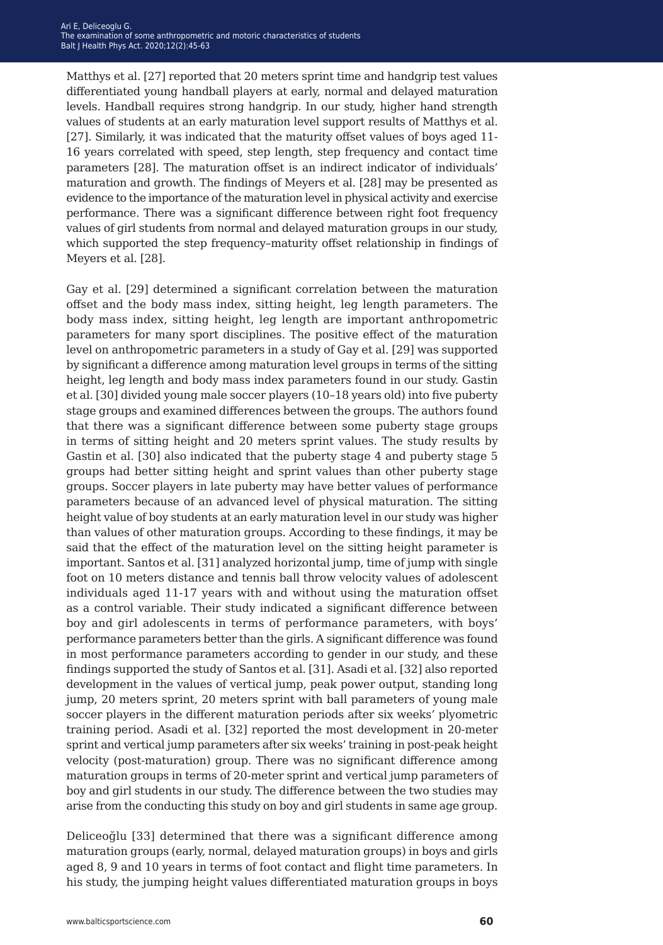Matthys et al. [27] reported that 20 meters sprint time and handgrip test values differentiated young handball players at early, normal and delayed maturation levels. Handball requires strong handgrip. In our study, higher hand strength values of students at an early maturation level support results of Matthys et al. [27]. Similarly, it was indicated that the maturity offset values of boys aged 11- 16 years correlated with speed, step length, step frequency and contact time parameters [28]. The maturation offset is an indirect indicator of individuals' maturation and growth. The findings of Meyers et al. [28] may be presented as evidence to the importance of the maturation level in physical activity and exercise performance. There was a significant difference between right foot frequency values of girl students from normal and delayed maturation groups in our study, which supported the step frequency–maturity offset relationship in findings of Meyers et al. [28].

Gay et al. [29] determined a significant correlation between the maturation offset and the body mass index, sitting height, leg length parameters. The body mass index, sitting height, leg length are important anthropometric parameters for many sport disciplines. The positive effect of the maturation level on anthropometric parameters in a study of Gay et al. [29] was supported by significant a difference among maturation level groups in terms of the sitting height, leg length and body mass index parameters found in our study. Gastin et al. [30] divided young male soccer players (10–18 years old) into five puberty stage groups and examined differences between the groups. The authors found that there was a significant difference between some puberty stage groups in terms of sitting height and 20 meters sprint values. The study results by Gastin et al. [30] also indicated that the puberty stage 4 and puberty stage 5 groups had better sitting height and sprint values than other puberty stage groups. Soccer players in late puberty may have better values of performance parameters because of an advanced level of physical maturation. The sitting height value of boy students at an early maturation level in our study was higher than values of other maturation groups. According to these findings, it may be said that the effect of the maturation level on the sitting height parameter is important. Santos et al. [31] analyzed horizontal jump, time of jump with single foot on 10 meters distance and tennis ball throw velocity values of adolescent individuals aged 11-17 years with and without using the maturation offset as a control variable. Their study indicated a significant difference between boy and girl adolescents in terms of performance parameters, with boys' performance parameters better than the girls. A significant difference was found in most performance parameters according to gender in our study, and these findings supported the study of Santos et al. [31]. Asadi et al. [32] also reported development in the values of vertical jump, peak power output, standing long jump, 20 meters sprint, 20 meters sprint with ball parameters of young male soccer players in the different maturation periods after six weeks' plyometric training period. Asadi et al. [32] reported the most development in 20-meter sprint and vertical jump parameters after six weeks' training in post-peak height velocity (post-maturation) group. There was no significant difference among maturation groups in terms of 20-meter sprint and vertical jump parameters of boy and girl students in our study. The difference between the two studies may arise from the conducting this study on boy and girl students in same age group.

Deliceoğlu [33] determined that there was a significant difference among maturation groups (early, normal, delayed maturation groups) in boys and girls aged 8, 9 and 10 years in terms of foot contact and flight time parameters. In his study, the jumping height values differentiated maturation groups in boys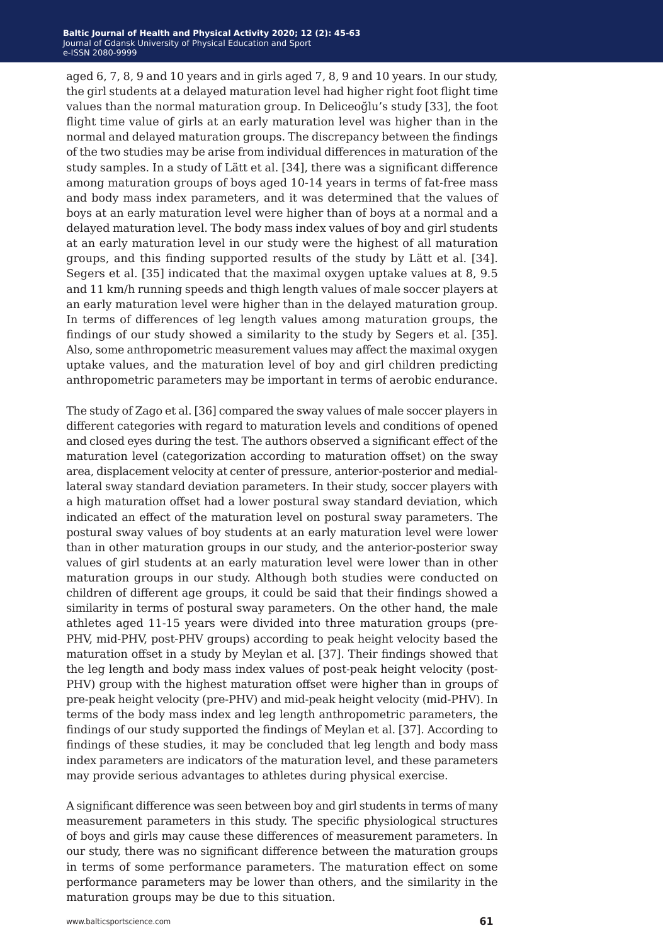aged 6, 7, 8, 9 and 10 years and in girls aged 7, 8, 9 and 10 years. In our study, the girl students at a delayed maturation level had higher right foot flight time values than the normal maturation group. In Deliceoğlu's study [33], the foot flight time value of girls at an early maturation level was higher than in the normal and delayed maturation groups. The discrepancy between the findings of the two studies may be arise from individual differences in maturation of the study samples. In a study of Lätt et al. [34], there was a significant difference among maturation groups of boys aged 10-14 years in terms of fat-free mass and body mass index parameters, and it was determined that the values of boys at an early maturation level were higher than of boys at a normal and a delayed maturation level. The body mass index values of boy and girl students at an early maturation level in our study were the highest of all maturation groups, and this finding supported results of the study by Lätt et al. [34]. Segers et al. [35] indicated that the maximal oxygen uptake values at 8, 9.5 and 11 km/h running speeds and thigh length values of male soccer players at an early maturation level were higher than in the delayed maturation group. In terms of differences of leg length values among maturation groups, the findings of our study showed a similarity to the study by Segers et al. [35]. Also, some anthropometric measurement values may affect the maximal oxygen uptake values, and the maturation level of boy and girl children predicting anthropometric parameters may be important in terms of aerobic endurance.

The study of Zago et al. [36] compared the sway values of male soccer players in different categories with regard to maturation levels and conditions of opened and closed eyes during the test. The authors observed a significant effect of the maturation level (categorization according to maturation offset) on the sway area, displacement velocity at center of pressure, anterior-posterior and mediallateral sway standard deviation parameters. In their study, soccer players with a high maturation offset had a lower postural sway standard deviation, which indicated an effect of the maturation level on postural sway parameters. The postural sway values of boy students at an early maturation level were lower than in other maturation groups in our study, and the anterior-posterior sway values of girl students at an early maturation level were lower than in other maturation groups in our study. Although both studies were conducted on children of different age groups, it could be said that their findings showed a similarity in terms of postural sway parameters. On the other hand, the male athletes aged 11-15 years were divided into three maturation groups (pre-PHV, mid-PHV, post-PHV groups) according to peak height velocity based the maturation offset in a study by Meylan et al. [37]. Their findings showed that the leg length and body mass index values of post-peak height velocity (post-PHV) group with the highest maturation offset were higher than in groups of pre-peak height velocity (pre-PHV) and mid-peak height velocity (mid-PHV). In terms of the body mass index and leg length anthropometric parameters, the findings of our study supported the findings of Meylan et al. [37]. According to findings of these studies, it may be concluded that leg length and body mass index parameters are indicators of the maturation level, and these parameters may provide serious advantages to athletes during physical exercise.

A significant difference was seen between boy and girl students in terms of many measurement parameters in this study. The specific physiological structures of boys and girls may cause these differences of measurement parameters. In our study, there was no significant difference between the maturation groups in terms of some performance parameters. The maturation effect on some performance parameters may be lower than others, and the similarity in the maturation groups may be due to this situation.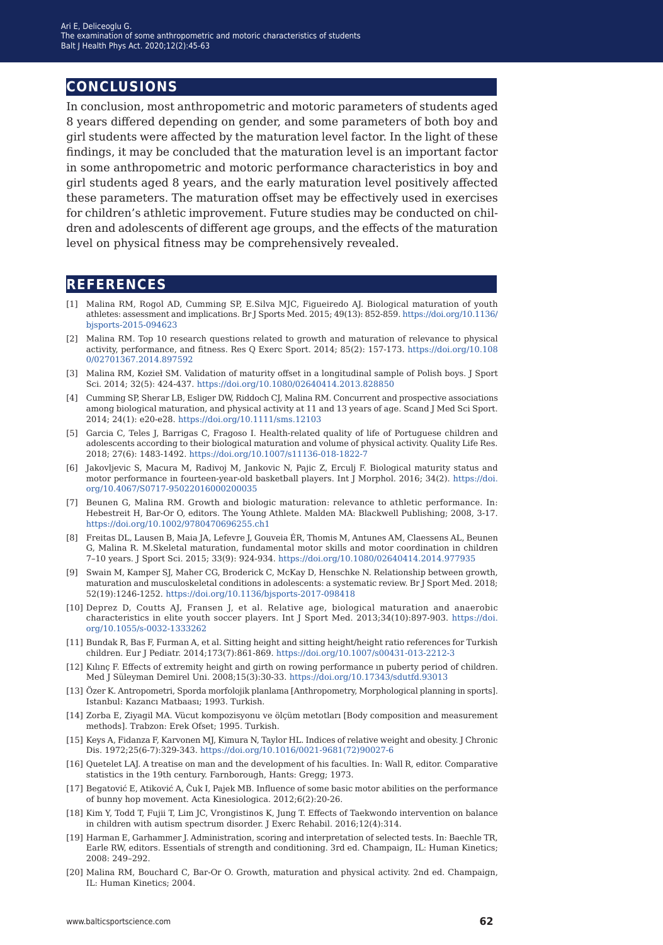### **conclusions**

In conclusion, most anthropometric and motoric parameters of students aged 8 years differed depending on gender, and some parameters of both boy and girl students were affected by the maturation level factor. In the light of these findings, it may be concluded that the maturation level is an important factor in some anthropometric and motoric performance characteristics in boy and girl students aged 8 years, and the early maturation level positively affected these parameters. The maturation offset may be effectively used in exercises for children's athletic improvement. Future studies may be conducted on children and adolescents of different age groups, and the effects of the maturation level on physical fitness may be comprehensively revealed.

### **references**

- [1] Malina RM, Rogol AD, Cumming SP, E.Silva MJC, Figueiredo AJ. Biological maturation of youth athletes: assessment and implications. Br J Sports Med. 2015; 49(13): 852-859. [https://doi.org/10.1136/](https://doi.org/10.1136/bjsports-2015-094623) [bjsports-2015-094623](https://doi.org/10.1136/bjsports-2015-094623)
- [2] Malina RM. Top 10 research questions related to growth and maturation of relevance to physical activity, performance, and fitness. Res Q Exerc Sport. 2014; 85(2): 157-173. [https://doi.org/10.108](https://doi.org/10.1080/02701367.2014.897592) [0/02701367.2014.897592](https://doi.org/10.1080/02701367.2014.897592)
- [3] Malina RM, Kozieł SM. Validation of maturity offset in a longitudinal sample of Polish boys. J Sport Sci. 2014; 32(5): 424-437.<https://doi.org/10.1080/02640414.2013.828850>
- [4] Cumming SP, Sherar LB, Esliger DW, Riddoch CJ, Malina RM. Concurrent and prospective associations among biological maturation, and physical activity at 11 and 13 years of age. Scand J Med Sci Sport. 2014; 24(1): e20-e28.<https://doi.org/10.1111/sms.12103>
- [5] Garcia C, Teles J, Barrigas C, Fragoso I. Health-related quality of life of Portuguese children and adolescents according to their biological maturation and volume of physical activity. Quality Life Res. 2018; 27(6): 1483-1492. <https://doi.org/10.1007/s11136-018-1822-7>
- [6] Jakovljevic S, Macura M, Radivoj M, Jankovic N, Pajic Z, Erculj F. Biological maturity status and motor performance in fourteen-year-old basketball players. Int J Morphol. 2016; 34(2). [https://doi.](https://doi.org/10.4067/S0717-95022016000200035 ) [org/10.4067/S0717-95022016000200035](https://doi.org/10.4067/S0717-95022016000200035 )
- [7] Beunen G, Malina RM. Growth and biologic maturation: relevance to athletic performance. In: Hebestreit H, Bar‐Or O, editors. The Young Athlete. Malden MA: Blackwell Publishing; 2008, 3-17. <https://doi.org/10.1002/9780470696255.ch1>
- [8] Freitas DL, Lausen B, Maia JA, Lefevre J, Gouveia ÉR, Thomis M, Antunes AM, Claessens AL, Beunen G, Malina R. M.Skeletal maturation, fundamental motor skills and motor coordination in children 7–10 years. J Sport Sci. 2015; 33(9): 924-934.<https://doi.org/10.1080/02640414.2014.977935>
- [9] Swain M, Kamper SJ, Maher CG, Broderick C, McKay D, Henschke N. Relationship between growth, maturation and musculoskeletal conditions in adolescents: a systematic review. Br J Sport Med. 2018; 52(19):1246-1252. <https://doi.org/10.1136/bjsports-2017-098418>
- [10] Deprez D, Coutts AJ, Fransen J, et al. Relative age, biological maturation and anaerobic characteristics in elite youth soccer players. Int J Sport Med. 2013;34(10):897-903. [https://doi.](https://doi.org/10.1055/s-0032-1333262) [org/10.1055/s-0032-1333262](https://doi.org/10.1055/s-0032-1333262)
- [11] Bundak R, Bas F, Furman A, et al. Sitting height and sitting height/height ratio references for Turkish children. Eur J Pediatr. 2014;173(7):861-869.<https://doi.org/10.1007/s00431-013-2212-3>
- [12] Kılınç F. Effects of extremity height and girth on rowing performance ın puberty period of children. Med J Süleyman Demirel Uni. 2008;15(3):30-33. <https://doi.org/10.17343/sdutfd.93013>
- [13] Özer K. Antropometri, Sporda morfolojik planlama [Anthropometry, Morphological planning in sports]. Istanbul: Kazancı Matbaası; 1993. Turkish.
- [14] Zorba E, Ziyagil MA. Vücut kompozisyonu ve ölçüm metotları [Body composition and measurement methods]. Trabzon: Erek Ofset; 1995. Turkish.
- [15] Keys A, Fidanza F, Karvonen MJ, Kimura N, Taylor HL. Indices of relative weight and obesity. J Chronic Dis. 1972;25(6-7):329-343. [https://doi.org/10.1016/0021-9681\(72\)90027-6](https://doi.org/10.1016/0021-9681(72)90027-6)
- [16] Quetelet LAJ. A treatise on man and the development of his faculties. In: Wall R, editor. Comparative statistics in the 19th century. Farnborough, Hants: Gregg; 1973.
- [17] Begatović E, Atiković A, Čuk I, Pajek MB. Influence of some basic motor abilities on the performance of bunny hop movement. Acta Kinesiologica. 2012;6(2):20-26.
- [18] Kim Y, Todd T, Fujii T, Lim JC, Vrongistinos K, Jung T. Effects of Taekwondo intervention on balance in children with autism spectrum disorder. J Exerc Rehabil. 2016;12(4):314.
- [19] Harman E, Garhammer J. Administration, scoring and interpretation of selected tests. In: Baechle TR, Earle RW, editors. Essentials of strength and conditioning. 3rd ed. Champaign, IL: Human Kinetics; 2008: 249–292.
- [20] Malina RM, Bouchard C, Bar-Or O. Growth, maturation and physical activity. 2nd ed. Champaign, IL: Human Kinetics; 2004.